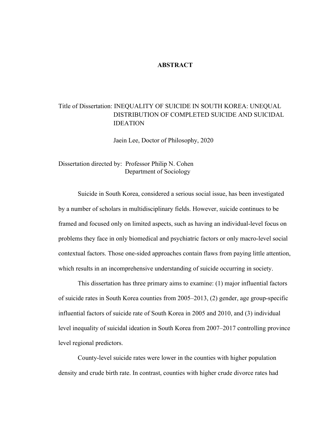#### **ABSTRACT**

### Title of Dissertation: INEQUALITY OF SUICIDE IN SOUTH KOREA: UNEQUAL DISTRIBUTION OF COMPLETED SUICIDE AND SUICIDAL IDEATION

Jaein Lee, Doctor of Philosophy, 2020

Dissertation directed by: Professor Philip N. Cohen Department of Sociology

Suicide in South Korea, considered a serious social issue, has been investigated by a number of scholars in multidisciplinary fields. However, suicide continues to be framed and focused only on limited aspects, such as having an individual-level focus on problems they face in only biomedical and psychiatric factors or only macro-level social contextual factors. Those one-sided approaches contain flaws from paying little attention, which results in an incomprehensive understanding of suicide occurring in society.

This dissertation has three primary aims to examine: (1) major influential factors of suicide rates in South Korea counties from 2005–2013, (2) gender, age group-specific influential factors of suicide rate of South Korea in 2005 and 2010, and (3) individual level inequality of suicidal ideation in South Korea from 2007–2017 controlling province level regional predictors.

County-level suicide rates were lower in the counties with higher population density and crude birth rate. In contrast, counties with higher crude divorce rates had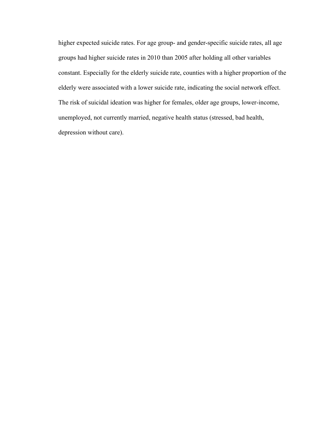higher expected suicide rates. For age group- and gender-specific suicide rates, all age groups had higher suicide rates in 2010 than 2005 after holding all other variables constant. Especially for the elderly suicide rate, counties with a higher proportion of the elderly were associated with a lower suicide rate, indicating the social network effect. The risk of suicidal ideation was higher for females, older age groups, lower-income, unemployed, not currently married, negative health status (stressed, bad health, depression without care).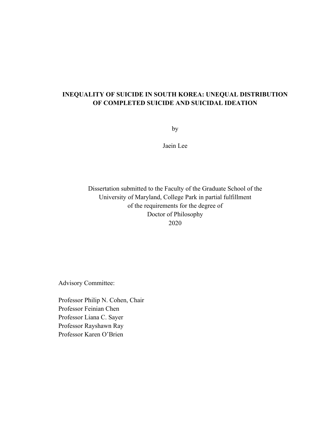### **INEQUALITY OF SUICIDE IN SOUTH KOREA: UNEQUAL DISTRIBUTION OF COMPLETED SUICIDE AND SUICIDAL IDEATION**

by

Jaein Lee

Dissertation submitted to the Faculty of the Graduate School of the University of Maryland, College Park in partial fulfillment of the requirements for the degree of Doctor of Philosophy 2020

Advisory Committee:

Professor Philip N. Cohen, Chair Professor Feinian Chen Professor Liana C. Sayer Professor Rayshawn Ray Professor Karen O'Brien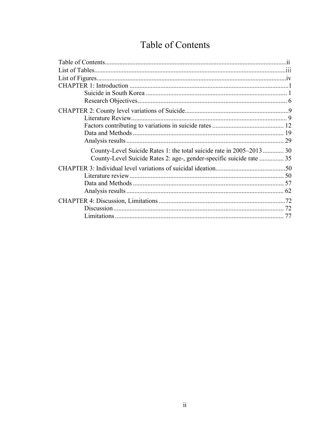## Table of Contents

| County-Level Suicide Rates 1: the total suicide rate in 2005–2013 30 |  |
|----------------------------------------------------------------------|--|
| County-Level Suicide Rates 2: age-, gender-specific suicide rate  35 |  |
|                                                                      |  |
|                                                                      |  |
|                                                                      |  |
|                                                                      |  |
|                                                                      |  |
|                                                                      |  |
|                                                                      |  |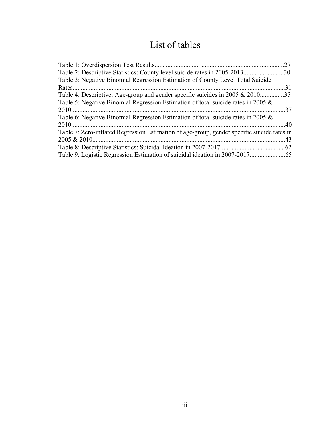## List of tables

| 27                                                                                          |
|---------------------------------------------------------------------------------------------|
| Table 2: Descriptive Statistics: County level suicide rates in 2005-201330                  |
| Table 3: Negative Binomial Regression Estimation of County Level Total Suicide              |
|                                                                                             |
| Table 4: Descriptive: Age-group and gender specific suicides in 2005 & 201035               |
| Table 5: Negative Binomial Regression Estimation of total suicide rates in 2005 $\&$        |
|                                                                                             |
| Table 6: Negative Binomial Regression Estimation of total suicide rates in 2005 &           |
|                                                                                             |
| Table 7: Zero-inflated Regression Estimation of age-group, gender specific suicide rates in |
|                                                                                             |
|                                                                                             |
|                                                                                             |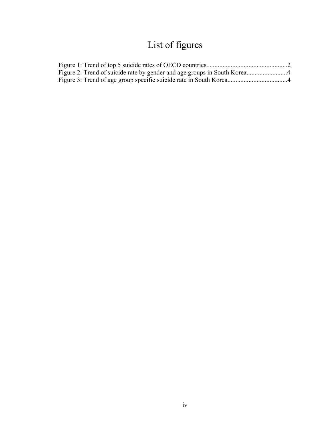# List of figures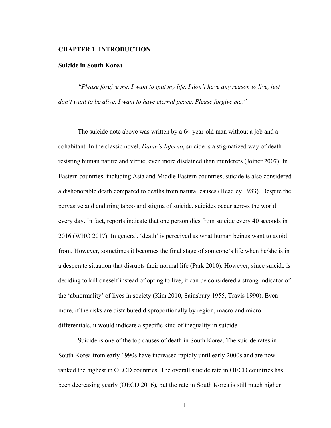#### **CHAPTER 1: INTRODUCTION**

#### **Suicide in South Korea**

*"Please forgive me. I want to quit my life. I don't have any reason to live, just don't want to be alive. I want to have eternal peace. Please forgive me."* 

The suicide note above was written by a 64-year-old man without a job and a cohabitant. In the classic novel, *Dante's Inferno*, suicide is a stigmatized way of death resisting human nature and virtue, even more disdained than murderers (Joiner 2007). In Eastern countries, including Asia and Middle Eastern countries, suicide is also considered a dishonorable death compared to deaths from natural causes (Headley 1983). Despite the pervasive and enduring taboo and stigma of suicide, suicides occur across the world every day. In fact, reports indicate that one person dies from suicide every 40 seconds in 2016 (WHO 2017). In general, 'death' is perceived as what human beings want to avoid from. However, sometimes it becomes the final stage of someone's life when he/she is in a desperate situation that disrupts their normal life (Park 2010). However, since suicide is deciding to kill oneself instead of opting to live, it can be considered a strong indicator of the 'abnormality' of lives in society (Kim 2010, Sainsbury 1955, Travis 1990). Even more, if the risks are distributed disproportionally by region, macro and micro differentials, it would indicate a specific kind of inequality in suicide.

Suicide is one of the top causes of death in South Korea. The suicide rates in South Korea from early 1990s have increased rapidly until early 2000s and are now ranked the highest in OECD countries. The overall suicide rate in OECD countries has been decreasing yearly (OECD 2016), but the rate in South Korea is still much higher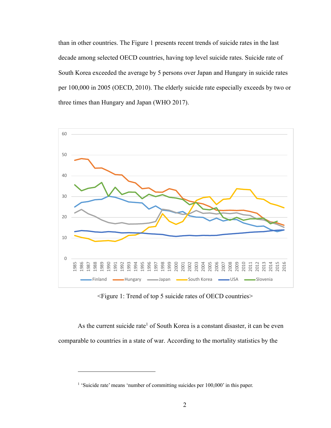than in other countries. The Figure 1 presents recent trends of suicide rates in the last decade among selected OECD countries, having top level suicide rates. Suicide rate of South Korea exceeded the average by 5 persons over Japan and Hungary in suicide rates per 100,000 in 2005 (OECD, 2010). The elderly suicide rate especially exceeds by two or three times than Hungary and Japan (WHO 2017).



<Figure 1: Trend of top 5 suicide rates of OECD countries>

As the current suicide rate<sup>1</sup> of South Korea is a constant disaster, it can be even comparable to countries in a state of war. According to the mortality statistics by the

<sup>&</sup>lt;sup>1</sup> 'Suicide rate' means 'number of committing suicides per 100,000' in this paper.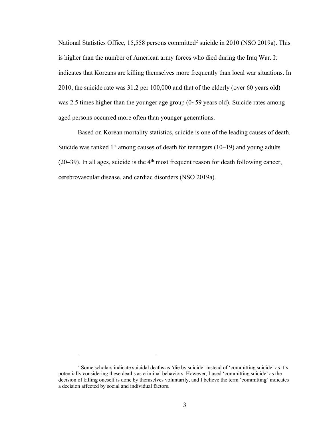National Statistics Office, 15,558 persons committed<sup>2</sup> suicide in 2010 (NSO 2019a). This is higher than the number of American army forces who died during the Iraq War. It indicates that Koreans are killing themselves more frequently than local war situations. In 2010, the suicide rate was 31.2 per 100,000 and that of the elderly (over 60 years old) was 2.5 times higher than the younger age group (0~59 years old). Suicide rates among aged persons occurred more often than younger generations.

Based on Korean mortality statistics, suicide is one of the leading causes of death. Suicide was ranked  $1<sup>st</sup>$  among causes of death for teenagers (10–19) and young adults  $(20-39)$ . In all ages, suicide is the 4<sup>th</sup> most frequent reason for death following cancer, cerebrovascular disease, and cardiac disorders (NSO 2019a).

<sup>2</sup> Some scholars indicate suicidal deaths as 'die by suicide' instead of 'committing suicide' as it's potentially considering these deaths as criminal behaviors. However, I used 'committing suicide' as the decision of killing oneself is done by themselves voluntarily, and I believe the term 'committing' indicates a decision affected by social and individual factors.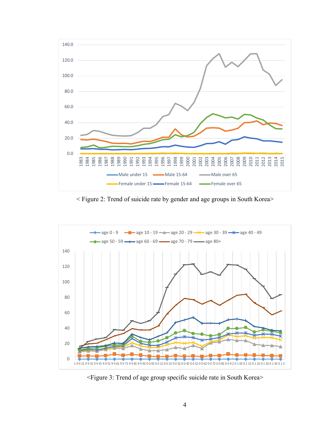

< Figure 2: Trend of suicide rate by gender and age groups in South Korea>



<Figure 3: Trend of age group specific suicide rate in South Korea>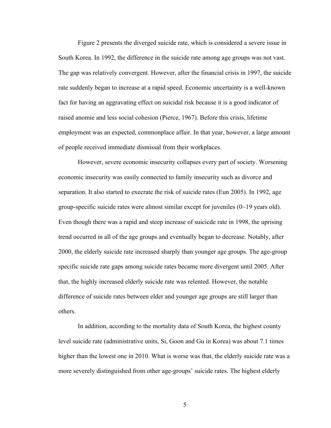Figure 2 presents the diverged suicide rate, which is considered a severe issue in South Korea. In 1992, the difference in the suicide rate among age groups was not vast. The gap was relatively convergent. However, after the financial crisis in 1997, the suicide rate suddenly began to increase at a rapid speed. Economic uncertainty is a well-known fact for having an aggravating effect on suicidal risk because it is a good indicator of raised anomie and less social cohesion (Pierce, 1967). Before this crisis, lifetime employment was an expected, commonplace affair. In that year, however, a large amount of people received immediate dismissal from their workplaces.

However, severe economic insecurity collapses every part of society. Worsening economic insecurity was easily connected to family insecurity such as divorce and separation. It also started to execrate the risk of suicide rates (Eun 2005). In 1992, age group-specific suicide rates were almost similar except for juveniles  $(0\text{~}19 \text{ years}$  old). Even though there was a rapid and steep increase of suicicde rate in 1998, the uprising trend occurred in all of the age groups and eventually began to decrease. Notably, after 2000, the elderly suicide rate increased sharply than younger age groups. The age-group specific suicide rate gaps among suicide rates became more divergent until 2005. After that, the highly increased elderly suicide rate was relented. However, the notable difference of suicide rates between elder and younger age groups are still larger than others.

In addition, according to the mortality data of South Korea, the highest county level suicide rate (administrative units, Si, Goon and Gu in Korea) was about 7.1 times higher than the lowest one in 2010. What is worse was that, the elderly suicide rate was a more severely distinguished from other age-groups' suicide rates. The highest elderly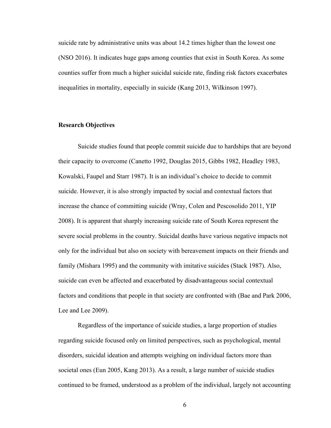suicide rate by administrative units was about 14.2 times higher than the lowest one (NSO 2016). It indicates huge gaps among counties that exist in South Korea. As some counties suffer from much a higher suicidal suicide rate, finding risk factors exacerbates inequalities in mortality, especially in suicide (Kang 2013, Wilkinson 1997).

#### **Research Objectives**

Suicide studies found that people commit suicide due to hardships that are beyond their capacity to overcome (Canetto 1992, Douglas 2015, Gibbs 1982, Headley 1983, Kowalski, Faupel and Starr 1987). It is an individual's choice to decide to commit suicide. However, it is also strongly impacted by social and contextual factors that increase the chance of committing suicide (Wray, Colen and Pescosolido 2011, YIP 2008). It is apparent that sharply increasing suicide rate of South Korea represent the severe social problems in the country. Suicidal deaths have various negative impacts not only for the individual but also on society with bereavement impacts on their friends and family (Mishara 1995) and the community with imitative suicides (Stack 1987). Also, suicide can even be affected and exacerbated by disadvantageous social contextual factors and conditions that people in that society are confronted with (Bae and Park 2006, Lee and Lee 2009).

Regardless of the importance of suicide studies, a large proportion of studies regarding suicide focused only on limited perspectives, such as psychological, mental disorders, suicidal ideation and attempts weighing on individual factors more than societal ones (Eun 2005, Kang 2013). As a result, a large number of suicide studies continued to be framed, understood as a problem of the individual, largely not accounting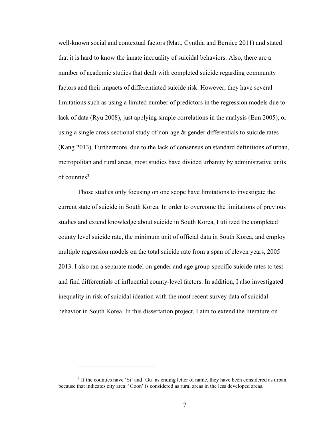well-known social and contextual factors (Matt, Cynthia and Bernice 2011) and stated that it is hard to know the innate inequality of suicidal behaviors. Also, there are a number of academic studies that dealt with completed suicide regarding community factors and their impacts of differentiated suicide risk. However, they have several limitations such as using a limited number of predictors in the regression models due to lack of data (Ryu 2008), just applying simple correlations in the analysis (Eun 2005), or using a single cross-sectional study of non-age  $\&$  gender differentials to suicide rates (Kang 2013). Furthermore, due to the lack of consensus on standard definitions of urban, metropolitan and rural areas, most studies have divided urbanity by administrative units of counties<sup>3</sup>.

Those studies only focusing on one scope have limitations to investigate the current state of suicide in South Korea. In order to overcome the limitations of previous studies and extend knowledge about suicide in South Korea, I utilized the completed county level suicide rate, the minimum unit of official data in South Korea, and employ multiple regression models on the total suicide rate from a span of eleven years, 2005– 2013. I also ran a separate model on gender and age group-specific suicide rates to test and find differentials of influential county-level factors. In addition, I also investigated inequality in risk of suicidal ideation with the most recent survey data of suicidal behavior in South Korea. In this dissertation project, I aim to extend the literature on

<sup>&</sup>lt;sup>3</sup> If the counties have 'Si' and 'Gu' as ending letter of name, they have been considered as urban because that indicates city area. 'Goon' is considered as rural areas in the less developed areas.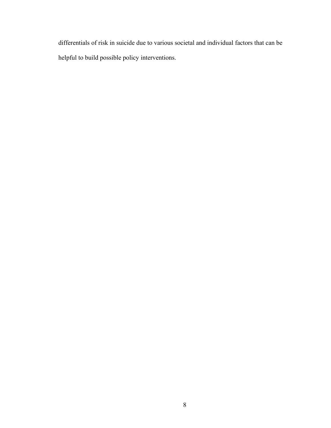differentials of risk in suicide due to various societal and individual factors that can be helpful to build possible policy interventions.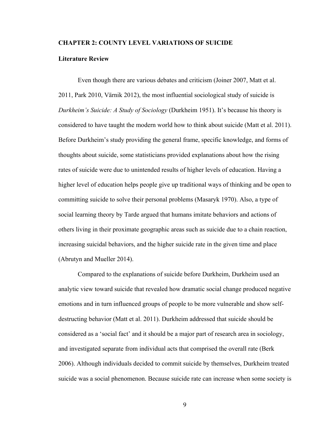#### **CHAPTER 2: COUNTY LEVEL VARIATIONS OF SUICIDE**

#### **Literature Review**

Even though there are various debates and criticism (Joiner 2007, Matt et al. 2011, Park 2010, Värnik 2012), the most influential sociological study of suicide is *Durkheim's Suicide: A Study of Sociology* (Durkheim 1951). It's because his theory is considered to have taught the modern world how to think about suicide (Matt et al. 2011). Before Durkheim's study providing the general frame, specific knowledge, and forms of thoughts about suicide, some statisticians provided explanations about how the rising rates of suicide were due to unintended results of higher levels of education. Having a higher level of education helps people give up traditional ways of thinking and be open to committing suicide to solve their personal problems (Masaryk 1970). Also, a type of social learning theory by Tarde argued that humans imitate behaviors and actions of others living in their proximate geographic areas such as suicide due to a chain reaction, increasing suicidal behaviors, and the higher suicide rate in the given time and place (Abrutyn and Mueller 2014).

Compared to the explanations of suicide before Durkheim, Durkheim used an analytic view toward suicide that revealed how dramatic social change produced negative emotions and in turn influenced groups of people to be more vulnerable and show selfdestructing behavior (Matt et al. 2011). Durkheim addressed that suicide should be considered as a 'social fact' and it should be a major part of research area in sociology, and investigated separate from individual acts that comprised the overall rate (Berk 2006). Although individuals decided to commit suicide by themselves, Durkheim treated suicide was a social phenomenon. Because suicide rate can increase when some society is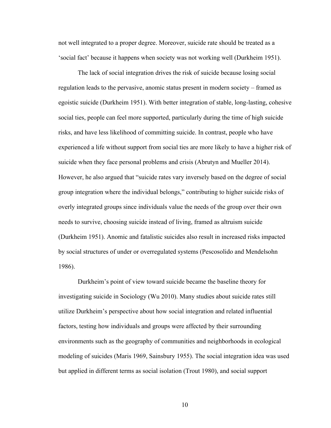not well integrated to a proper degree. Moreover, suicide rate should be treated as a 'social fact' because it happens when society was not working well (Durkheim 1951).

The lack of social integration drives the risk of suicide because losing social regulation leads to the pervasive, anomic status present in modern society – framed as egoistic suicide (Durkheim 1951). With better integration of stable, long-lasting, cohesive social ties, people can feel more supported, particularly during the time of high suicide risks, and have less likelihood of committing suicide. In contrast, people who have experienced a life without support from social ties are more likely to have a higher risk of suicide when they face personal problems and crisis (Abrutyn and Mueller 2014). However, he also argued that "suicide rates vary inversely based on the degree of social group integration where the individual belongs," contributing to higher suicide risks of overly integrated groups since individuals value the needs of the group over their own needs to survive, choosing suicide instead of living, framed as altruism suicide (Durkheim 1951). Anomic and fatalistic suicides also result in increased risks impacted by social structures of under or overregulated systems (Pescosolido and Mendelsohn 1986).

Durkheim's point of view toward suicide became the baseline theory for investigating suicide in Sociology (Wu 2010). Many studies about suicide rates still utilize Durkheim's perspective about how social integration and related influential factors, testing how individuals and groups were affected by their surrounding environments such as the geography of communities and neighborhoods in ecological modeling of suicides (Maris 1969, Sainsbury 1955). The social integration idea was used but applied in different terms as social isolation (Trout 1980), and social support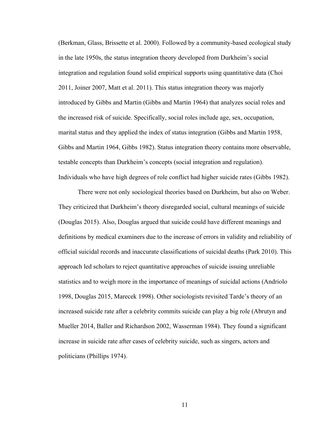(Berkman, Glass, Brissette et al. 2000). Followed by a community-based ecological study in the late 1950s, the status integration theory developed from Durkheim's social integration and regulation found solid empirical supports using quantitative data (Choi 2011, Joiner 2007, Matt et al. 2011). This status integration theory was majorly introduced by Gibbs and Martin (Gibbs and Martin 1964) that analyzes social roles and the increased risk of suicide. Specifically, social roles include age, sex, occupation, marital status and they applied the index of status integration (Gibbs and Martin 1958, Gibbs and Martin 1964, Gibbs 1982). Status integration theory contains more observable, testable concepts than Durkheim's concepts (social integration and regulation). Individuals who have high degrees of role conflict had higher suicide rates (Gibbs 1982).

There were not only sociological theories based on Durkheim, but also on Weber. They criticized that Durkheim's theory disregarded social, cultural meanings of suicide (Douglas 2015). Also, Douglas argued that suicide could have different meanings and definitions by medical examiners due to the increase of errors in validity and reliability of official suicidal records and inaccurate classifications of suicidal deaths (Park 2010). This approach led scholars to reject quantitative approaches of suicide issuing unreliable statistics and to weigh more in the importance of meanings of suicidal actions (Andriolo 1998, Douglas 2015, Marecek 1998). Other sociologists revisited Tarde's theory of an increased suicide rate after a celebrity commits suicide can play a big role (Abrutyn and Mueller 2014, Baller and Richardson 2002, Wasserman 1984). They found a significant increase in suicide rate after cases of celebrity suicide, such as singers, actors and politicians (Phillips 1974).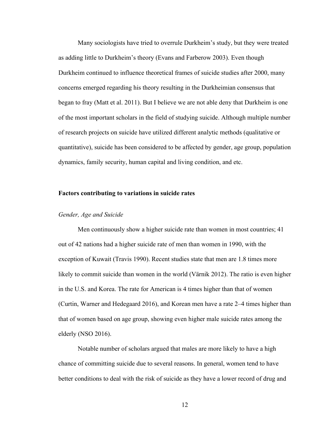Many sociologists have tried to overrule Durkheim's study, but they were treated as adding little to Durkheim's theory (Evans and Farberow 2003). Even though Durkheim continued to influence theoretical frames of suicide studies after 2000, many concerns emerged regarding his theory resulting in the Durkheimian consensus that began to fray (Matt et al. 2011). But I believe we are not able deny that Durkheim is one of the most important scholars in the field of studying suicide. Although multiple number of research projects on suicide have utilized different analytic methods (qualitative or quantitative), suicide has been considered to be affected by gender, age group, population dynamics, family security, human capital and living condition, and etc.

#### **Factors contributing to variations in suicide rates**

#### *Gender, Age and Suicide*

Men continuously show a higher suicide rate than women in most countries; 41 out of 42 nations had a higher suicide rate of men than women in 1990, with the exception of Kuwait (Travis 1990). Recent studies state that men are 1.8 times more likely to commit suicide than women in the world (Värnik 2012). The ratio is even higher in the U.S. and Korea. The rate for American is 4 times higher than that of women (Curtin, Warner and Hedegaard 2016), and Korean men have a rate 2–4 times higher than that of women based on age group, showing even higher male suicide rates among the elderly (NSO 2016).

Notable number of scholars argued that males are more likely to have a high chance of committing suicide due to several reasons. In general, women tend to have better conditions to deal with the risk of suicide as they have a lower record of drug and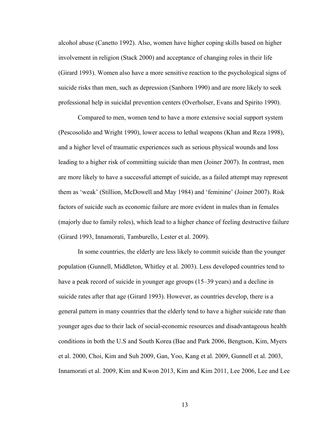alcohol abuse (Canetto 1992). Also, women have higher coping skills based on higher involvement in religion (Stack 2000) and acceptance of changing roles in their life (Girard 1993). Women also have a more sensitive reaction to the psychological signs of suicide risks than men, such as depression (Sanborn 1990) and are more likely to seek professional help in suicidal prevention centers (Overholser, Evans and Spirito 1990).

Compared to men, women tend to have a more extensive social support system (Pescosolido and Wright 1990), lower access to lethal weapons (Khan and Reza 1998), and a higher level of traumatic experiences such as serious physical wounds and loss leading to a higher risk of committing suicide than men (Joiner 2007). In contrast, men are more likely to have a successful attempt of suicide, as a failed attempt may represent them as 'weak' (Stillion, McDowell and May 1984) and 'feminine' (Joiner 2007). Risk factors of suicide such as economic failure are more evident in males than in females (majorly due to family roles), which lead to a higher chance of feeling destructive failure (Girard 1993, Innamorati, Tamburello, Lester et al. 2009).

In some countries, the elderly are less likely to commit suicide than the younger population (Gunnell, Middleton, Whitley et al. 2003). Less developed countries tend to have a peak record of suicide in younger age groups (15–39 years) and a decline in suicide rates after that age (Girard 1993). However, as countries develop, there is a general pattern in many countries that the elderly tend to have a higher suicide rate than younger ages due to their lack of social-economic resources and disadvantageous health conditions in both the U.S and South Korea (Bae and Park 2006, Bengtson, Kim, Myers et al. 2000, Choi, Kim and Suh 2009, Gan, Yoo, Kang et al. 2009, Gunnell et al. 2003, Innamorati et al. 2009, Kim and Kwon 2013, Kim and Kim 2011, Lee 2006, Lee and Lee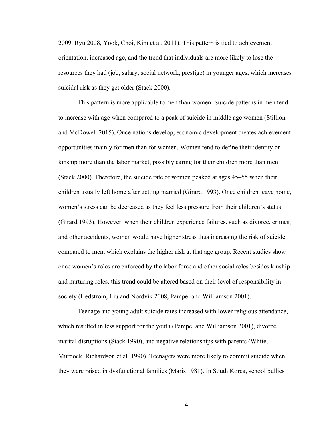2009, Ryu 2008, Yook, Choi, Kim et al. 2011). This pattern is tied to achievement orientation, increased age, and the trend that individuals are more likely to lose the resources they had (job, salary, social network, prestige) in younger ages, which increases suicidal risk as they get older (Stack 2000).

This pattern is more applicable to men than women. Suicide patterns in men tend to increase with age when compared to a peak of suicide in middle age women (Stillion and McDowell 2015). Once nations develop, economic development creates achievement opportunities mainly for men than for women. Women tend to define their identity on kinship more than the labor market, possibly caring for their children more than men (Stack 2000). Therefore, the suicide rate of women peaked at ages 45–55 when their children usually left home after getting married (Girard 1993). Once children leave home, women's stress can be decreased as they feel less pressure from their children's status (Girard 1993). However, when their children experience failures, such as divorce, crimes, and other accidents, women would have higher stress thus increasing the risk of suicide compared to men, which explains the higher risk at that age group. Recent studies show once women's roles are enforced by the labor force and other social roles besides kinship and nurturing roles, this trend could be altered based on their level of responsibility in society (Hedstrom, Liu and Nordvik 2008, Pampel and Williamson 2001).

Teenage and young adult suicide rates increased with lower religious attendance, which resulted in less support for the youth (Pampel and Williamson 2001), divorce, marital disruptions (Stack 1990), and negative relationships with parents (White, Murdock, Richardson et al. 1990). Teenagers were more likely to commit suicide when they were raised in dysfunctional families (Maris 1981). In South Korea, school bullies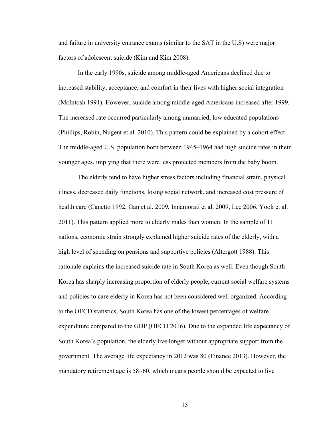and failure in university entrance exams (similar to the SAT in the U.S) were major factors of adolescent suicide (Kim and Kim 2008).

In the early 1990s, suicide among middle-aged Americans declined due to increased stability, acceptance, and comfort in their lives with higher social integration (McIntosh 1991). However, suicide among middle-aged Americans increased after 1999. The increased rate occurred particularly among unmarried, low educated populations (Phillips, Robin, Nugent et al. 2010). This pattern could be explained by a cohort effect. The middle-aged U.S. population born between 1945–1964 had high suicide rates in their younger ages, implying that there were less protected members from the baby boom.

The elderly tend to have higher stress factors including financial strain, physical illness, decreased daily functions, losing social network, and increased cost pressure of health care (Canetto 1992, Gan et al. 2009, Innamorati et al. 2009, Lee 2006, Yook et al. 2011). This pattern applied more to elderly males than women. In the sample of 11 nations, economic strain strongly explained higher suicide rates of the elderly, with a high level of spending on pensions and supportive policies (Altergott 1988). This rationale explains the increased suicide rate in South Korea as well. Even though South Korea has sharply increasing proportion of elderly people, current social welfare systems and policies to care elderly in Korea has not been considered well organized. According to the OECD statistics, South Korea has one of the lowest percentages of welfare expenditure compared to the GDP (OECD 2016). Due to the expanded life expectancy of South Korea's population, the elderly live longer without appropriate support from the government. The average life expectancy in 2012 was 80 (Finance 2013). However, the mandatory retirement age is 58~60, which means people should be expected to live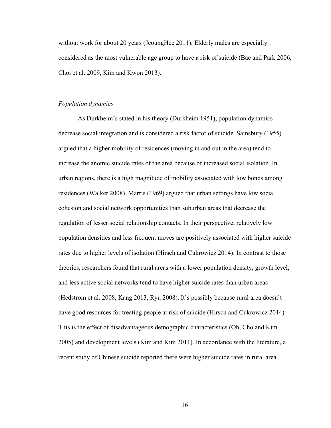without work for about 20 years (JeoungHee 2011). Elderly males are especially considered as the most vulnerable age group to have a risk of suicide (Bae and Park 2006, Choi et al. 2009, Kim and Kwon 2013).

#### *Population dynamics*

As Durkheim's stated in his theory (Durkheim 1951), population dynamics decrease social integration and is considered a risk factor of suicide. Sainsbury (1955) argued that a higher mobility of residences (moving in and out in the area) tend to increase the anomic suicide rates of the area because of increased social isolation. In urban regions, there is a high magnitude of mobility associated with low bonds among residences (Walker 2008). Marris (1969) argued that urban settings have low social cohesion and social network opportunities than suburban areas that decrease the regulation of lesser social relationship contacts. In their perspective, relatively low population densities and less frequent moves are positively associated with higher suicide rates due to higher levels of isolation (Hirsch and Cukrowicz 2014). In contrast to those theories, researchers found that rural areas with a lower population density, growth level, and less active social networks tend to have higher suicide rates than urban areas (Hedstrom et al. 2008, Kang 2013, Ryu 2008). It's possibly because rural area doesn't have good resources for treating people at risk of suicide (Hirsch and Cukrowicz 2014) This is the effect of disadvantageous demographic characteristics (Oh, Cho and Kim 2005) and development levels (Kim and Kim 2011). In accordance with the literature, a recent study of Chinese suicide reported there were higher suicide rates in rural area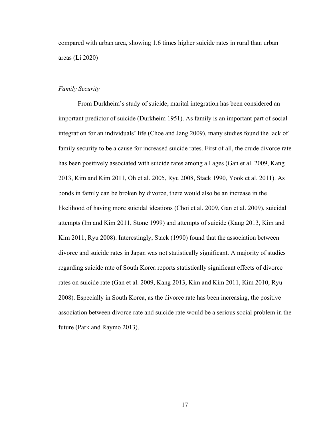compared with urban area, showing 1.6 times higher suicide rates in rural than urban areas (Li 2020)

#### *Family Security*

From Durkheim's study of suicide, marital integration has been considered an important predictor of suicide (Durkheim 1951). As family is an important part of social integration for an individuals' life (Choe and Jang 2009), many studies found the lack of family security to be a cause for increased suicide rates. First of all, the crude divorce rate has been positively associated with suicide rates among all ages (Gan et al. 2009, Kang 2013, Kim and Kim 2011, Oh et al. 2005, Ryu 2008, Stack 1990, Yook et al. 2011). As bonds in family can be broken by divorce, there would also be an increase in the likelihood of having more suicidal ideations (Choi et al. 2009, Gan et al. 2009), suicidal attempts (Im and Kim 2011, Stone 1999) and attempts of suicide (Kang 2013, Kim and Kim 2011, Ryu 2008). Interestingly, Stack (1990) found that the association between divorce and suicide rates in Japan was not statistically significant. A majority of studies regarding suicide rate of South Korea reports statistically significant effects of divorce rates on suicide rate (Gan et al. 2009, Kang 2013, Kim and Kim 2011, Kim 2010, Ryu 2008). Especially in South Korea, as the divorce rate has been increasing, the positive association between divorce rate and suicide rate would be a serious social problem in the future (Park and Raymo 2013).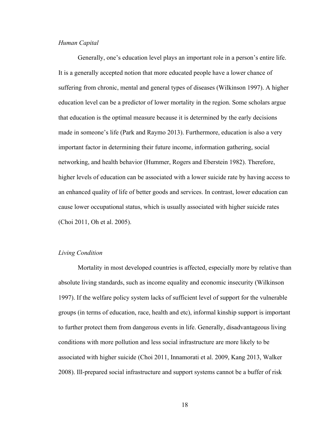#### *Human Capital*

Generally, one's education level plays an important role in a person's entire life. It is a generally accepted notion that more educated people have a lower chance of suffering from chronic, mental and general types of diseases (Wilkinson 1997). A higher education level can be a predictor of lower mortality in the region. Some scholars argue that education is the optimal measure because it is determined by the early decisions made in someone's life (Park and Raymo 2013). Furthermore, education is also a very important factor in determining their future income, information gathering, social networking, and health behavior (Hummer, Rogers and Eberstein 1982). Therefore, higher levels of education can be associated with a lower suicide rate by having access to an enhanced quality of life of better goods and services. In contrast, lower education can cause lower occupational status, which is usually associated with higher suicide rates (Choi 2011, Oh et al. 2005).

#### *Living Condition*

Mortality in most developed countries is affected, especially more by relative than absolute living standards, such as income equality and economic insecurity (Wilkinson 1997). If the welfare policy system lacks of sufficient level of support for the vulnerable groups (in terms of education, race, health and etc), informal kinship support is important to further protect them from dangerous events in life. Generally, disadvantageous living conditions with more pollution and less social infrastructure are more likely to be associated with higher suicide (Choi 2011, Innamorati et al. 2009, Kang 2013, Walker 2008). Ill-prepared social infrastructure and support systems cannot be a buffer of risk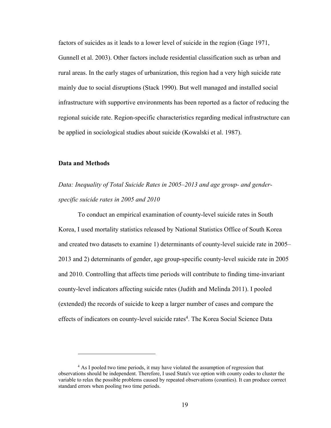factors of suicides as it leads to a lower level of suicide in the region (Gage 1971, Gunnell et al. 2003). Other factors include residential classification such as urban and rural areas. In the early stages of urbanization, this region had a very high suicide rate mainly due to social disruptions (Stack 1990). But well managed and installed social infrastructure with supportive environments has been reported as a factor of reducing the regional suicide rate. Region-specific characteristics regarding medical infrastructure can be applied in sociological studies about suicide (Kowalski et al. 1987).

#### **Data and Methods**

*Data: Inequality of Total Suicide Rates in 2005–2013 and age group- and genderspecific suicide rates in 2005 and 2010*

To conduct an empirical examination of county-level suicide rates in South Korea, I used mortality statistics released by National Statistics Office of South Korea and created two datasets to examine 1) determinants of county-level suicide rate in 2005– 2013 and 2) determinants of gender, age group-specific county-level suicide rate in 2005 and 2010. Controlling that affects time periods will contribute to finding time-invariant county-level indicators affecting suicide rates (Judith and Melinda 2011). I pooled (extended) the records of suicide to keep a larger number of cases and compare the effects of indicators on county-level suicide rates<sup>4</sup>. The Korea Social Science Data

<sup>&</sup>lt;sup>4</sup> As I pooled two time periods, it may have violated the assumption of regression that observations should be independent. Therefore, I used Stata's vce option with county codes to cluster the variable to relax the possible problems caused by repeated observations (counties). It can produce correct standard errors when pooling two time periods.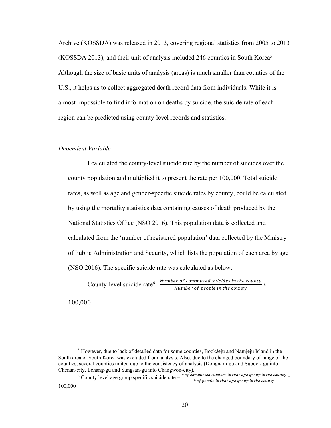Archive (KOSSDA) was released in 2013, covering regional statistics from 2005 to 2013 (KOSSDA 2013), and their unit of analysis included 246 counties in South Korea5 . Although the size of basic units of analysis (areas) is much smaller than counties of the U.S., it helps us to collect aggregated death record data from individuals. While it is almost impossible to find information on deaths by suicide, the suicide rate of each region can be predicted using county-level records and statistics.

#### *Dependent Variable*

I calculated the county-level suicide rate by the number of suicides over the county population and multiplied it to present the rate per 100,000. Total suicide rates, as well as age and gender-specific suicide rates by county, could be calculated by using the mortality statistics data containing causes of death produced by the National Statistics Office (NSO 2016). This population data is collected and calculated from the 'number of registered population' data collected by the Ministry of Public Administration and Security, which lists the population of each area by age (NSO 2016). The specific suicide rate was calculated as below:

County-level suicide rate<sup>6</sup>:  $\frac{Number\ of\ committed\ suicide\ in\ the\ country}{Number\ of\ people\ in\ the\ country} *$ 

100,000

<sup>5</sup> However, due to lack of detailed data for some counties, BookJeju and Namjeju Island in the South area of South Korea was excluded from analysis. Also, due to the changed boundary of range of the counties, several counties united due to the consistency of analysis (Dongnam-gu and Subook-gu into Chenan-city, Echang-gu and Sungsan-gu into Changwon-city).

<sup>&</sup>lt;sup>6</sup> County level age group specific suicide rate  $=\frac{\text{\# of committed switches in that age group in the country}}{\text{\# of people in that age group in the country}}$ 100,000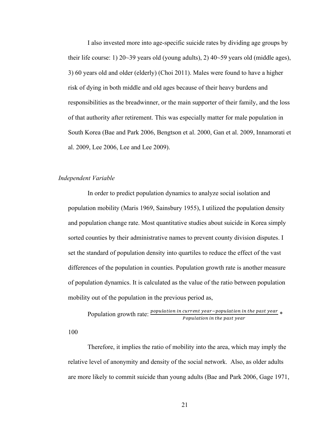I also invested more into age-specific suicide rates by dividing age groups by their life course: 1) 20~39 years old (young adults), 2)  $40~59$  years old (middle ages), 3) 60 years old and older (elderly) (Choi 2011). Males were found to have a higher risk of dying in both middle and old ages because of their heavy burdens and responsibilities as the breadwinner, or the main supporter of their family, and the loss of that authority after retirement. This was especially matter for male population in South Korea (Bae and Park 2006, Bengtson et al. 2000, Gan et al. 2009, Innamorati et al. 2009, Lee 2006, Lee and Lee 2009).

#### *Independent Variable*

In order to predict population dynamics to analyze social isolation and population mobility (Maris 1969, Sainsbury 1955), I utilized the population density and population change rate. Most quantitative studies about suicide in Korea simply sorted counties by their administrative names to prevent county division disputes. I set the standard of population density into quartiles to reduce the effect of the vast differences of the population in counties. Population growth rate is another measure of population dynamics. It is calculated as the value of the ratio between population mobility out of the population in the previous period as,

Population growth rate: 
$$
\frac{population \ in \ current \ year - population \ in \ the \ past \ year}{Population \ in \ the \ past \ year}
$$

100

Therefore, it implies the ratio of mobility into the area, which may imply the relative level of anonymity and density of the social network. Also, as older adults are more likely to commit suicide than young adults (Bae and Park 2006, Gage 1971,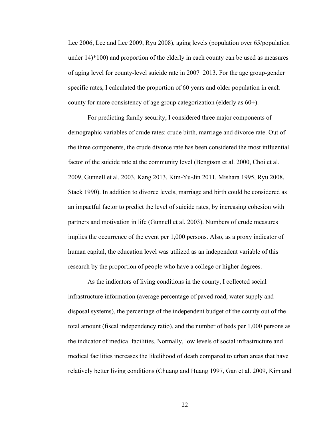Lee 2006, Lee and Lee 2009, Ryu 2008), aging levels (population over 65/population under 14)\*100) and proportion of the elderly in each county can be used as measures of aging level for county-level suicide rate in 2007–2013. For the age group-gender specific rates, I calculated the proportion of 60 years and older population in each county for more consistency of age group categorization (elderly as 60+).

For predicting family security, I considered three major components of demographic variables of crude rates: crude birth, marriage and divorce rate. Out of the three components, the crude divorce rate has been considered the most influential factor of the suicide rate at the community level (Bengtson et al. 2000, Choi et al. 2009, Gunnell et al. 2003, Kang 2013, Kim-Yu-Jin 2011, Mishara 1995, Ryu 2008, Stack 1990). In addition to divorce levels, marriage and birth could be considered as an impactful factor to predict the level of suicide rates, by increasing cohesion with partners and motivation in life (Gunnell et al. 2003). Numbers of crude measures implies the occurrence of the event per 1,000 persons. Also, as a proxy indicator of human capital, the education level was utilized as an independent variable of this research by the proportion of people who have a college or higher degrees.

As the indicators of living conditions in the county, I collected social infrastructure information (average percentage of paved road, water supply and disposal systems), the percentage of the independent budget of the county out of the total amount (fiscal independency ratio), and the number of beds per 1,000 persons as the indicator of medical facilities. Normally, low levels of social infrastructure and medical facilities increases the likelihood of death compared to urban areas that have relatively better living conditions (Chuang and Huang 1997, Gan et al. 2009, Kim and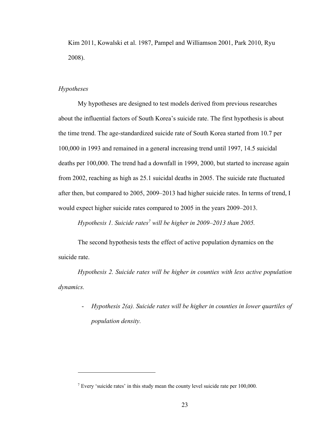Kim 2011, Kowalski et al. 1987, Pampel and Williamson 2001, Park 2010, Ryu 2008).

#### *Hypotheses*

My hypotheses are designed to test models derived from previous researches about the influential factors of South Korea's suicide rate. The first hypothesis is about the time trend. The age-standardized suicide rate of South Korea started from 10.7 per 100,000 in 1993 and remained in a general increasing trend until 1997, 14.5 suicidal deaths per 100,000. The trend had a downfall in 1999, 2000, but started to increase again from 2002, reaching as high as 25.1 suicidal deaths in 2005. The suicide rate fluctuated after then, but compared to 2005, 2009–2013 had higher suicide rates. In terms of trend, I would expect higher suicide rates compared to 2005 in the years 2009–2013.

*Hypothesis 1. Suicide rates7 will be higher in 2009–2013 than 2005.*

The second hypothesis tests the effect of active population dynamics on the suicide rate.

*Hypothesis 2. Suicide rates will be higher in counties with less active population dynamics.*

- *Hypothesis 2(a). Suicide rates will be higher in counties in lower quartiles of population density.*

<sup>7</sup> Every 'suicide rates' in this study mean the county level suicide rate per 100,000.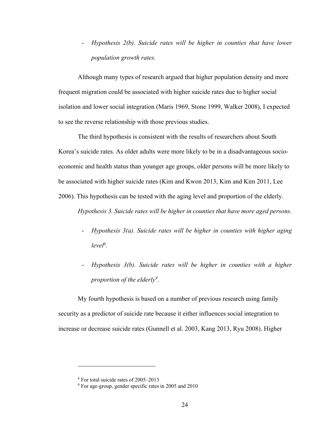- *Hypothesis 2(b). Suicide rates will be higher in counties that have lower population growth rates.*

Although many types of research argued that higher population density and more frequent migration could be associated with higher suicide rates due to higher social isolation and lower social integration (Maris 1969, Stone 1999, Walker 2008), I expected to see the reverse relationship with those previous studies.

The third hypothesis is consistent with the results of researchers about South Korea's suicide rates. As older adults were more likely to be in a disadvantageous socioeconomic and health status than younger age groups, older persons will be more likely to be associated with higher suicide rates (Kim and Kwon 2013, Kim and Kim 2011, Lee 2006). This hypothesis can be tested with the aging level and proportion of the elderly.

*Hypothesis 3. Suicide rates will be higher in counties that have more aged persons.*

- *Hypothesis 3(a). Suicide rates will be higher in counties with higher aging level8.*
- *Hypothesis 3(b). Suicide rates will be higher in counties with a higher proportion of the elderly9 .*

My fourth hypothesis is based on a number of previous research using family security as a predictor of suicide rate because it either influences social integration to increase or decrease suicide rates (Gunnell et al. 2003, Kang 2013, Ryu 2008). Higher

<sup>8</sup> For total suicide rates of 2005–2013

<sup>9</sup> For age-group, gender specific rates in 2005 and 2010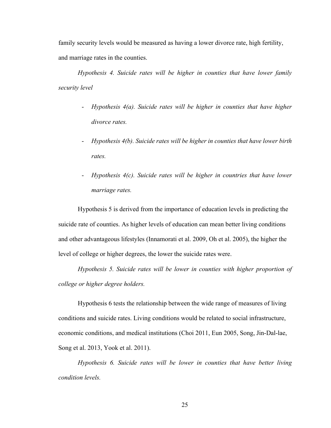family security levels would be measured as having a lower divorce rate, high fertility, and marriage rates in the counties.

*Hypothesis 4. Suicide rates will be higher in counties that have lower family security level*

- *Hypothesis 4(a). Suicide rates will be higher in counties that have higher divorce rates.*
- *Hypothesis 4(b). Suicide rates will be higher in counties that have lower birth rates.*
- *Hypothesis 4(c). Suicide rates will be higher in countries that have lower marriage rates.*

Hypothesis 5 is derived from the importance of education levels in predicting the suicide rate of counties. As higher levels of education can mean better living conditions and other advantageous lifestyles (Innamorati et al. 2009, Oh et al. 2005), the higher the level of college or higher degrees, the lower the suicide rates were.

*Hypothesis 5. Suicide rates will be lower in counties with higher proportion of college or higher degree holders.*

Hypothesis 6 tests the relationship between the wide range of measures of living conditions and suicide rates. Living conditions would be related to social infrastructure, economic conditions, and medical institutions (Choi 2011, Eun 2005, Song, Jin-Dal-lae, Song et al. 2013, Yook et al. 2011).

*Hypothesis 6. Suicide rates will be lower in counties that have better living condition levels.*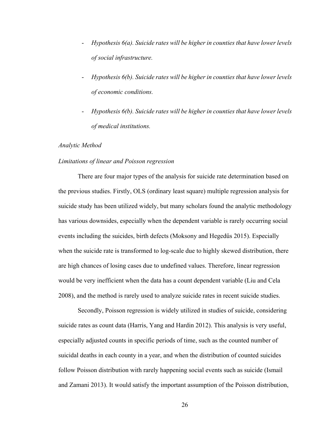- *Hypothesis 6(a). Suicide rates will be higher in counties that have lower levels of social infrastructure.*
- *Hypothesis 6(b). Suicide rates will be higher in counties that have lower levels of economic conditions.*
- *Hypothesis 6(b). Suicide rates will be higher in counties that have lower levels of medical institutions.*

#### *Analytic Method*

#### *Limitations of linear and Poisson regression*

There are four major types of the analysis for suicide rate determination based on the previous studies. Firstly, OLS (ordinary least square) multiple regression analysis for suicide study has been utilized widely, but many scholars found the analytic methodology has various downsides, especially when the dependent variable is rarely occurring social events including the suicides, birth defects (Moksony and Hegedűs 2015). Especially when the suicide rate is transformed to log-scale due to highly skewed distribution, there are high chances of losing cases due to undefined values. Therefore, linear regression would be very inefficient when the data has a count dependent variable (Liu and Cela 2008), and the method is rarely used to analyze suicide rates in recent suicide studies.

Secondly, Poisson regression is widely utilized in studies of suicide, considering suicide rates as count data (Harris, Yang and Hardin 2012). This analysis is very useful, especially adjusted counts in specific periods of time, such as the counted number of suicidal deaths in each county in a year, and when the distribution of counted suicides follow Poisson distribution with rarely happening social events such as suicide (Ismail and Zamani 2013). It would satisfy the important assumption of the Poisson distribution,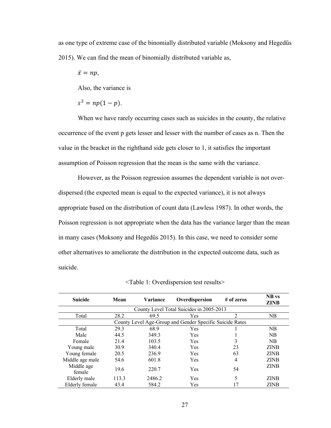as one type of extreme case of the binomially distributed variable (Moksony and Hegedűs 2015). We can find the mean of binomially distributed variable as,

$$
\bar{x}=np,
$$

Also, the variance is

$$
s^2 = np(1-p).
$$

When we have rarely occurring cases such as suicides in the county, the relative occurrence of the event p gets lesser and lesser with the number of cases as n. Then the value in the bracket in the righthand side gets closer to 1, it satisfies the important assumption of Poisson regression that the mean is the same with the variance.

However, as the Poisson regression assumes the dependent variable is not overdispersed (the expected mean is equal to the expected variance), it is not always appropriate based on the distribution of count data (Lawless 1987). In other words, the Poisson regression is not appropriate when the data has the variance larger than the mean in many cases (Moksony and Hegedűs 2015). In this case, we need to consider some other alternatives to ameliorate the distribution in the expected outcome data, such as suicide.

| <b>Suicide</b>                                           | Mean  | Variance | Overdispersion | $#$ of zeros | <b>NB</b> vs<br><b>ZINB</b> |  |  |
|----------------------------------------------------------|-------|----------|----------------|--------------|-----------------------------|--|--|
| County Level Total Suicides in 2005-2013                 |       |          |                |              |                             |  |  |
| Total                                                    | 28.2  | 69.5     | <b>Yes</b>     | 2            | NB                          |  |  |
| County Level Age-Group and Gender Specific Suicide Rates |       |          |                |              |                             |  |  |
| Total                                                    | 29.3  | 68.9     | Yes            |              | NB                          |  |  |
| Male                                                     | 44.5  | 349.3    | Yes            |              | <b>NB</b>                   |  |  |
| Female                                                   | 21.4  | 103.5    | <b>Yes</b>     |              | <b>NB</b>                   |  |  |
| Young male                                               | 30.9  | 340.4    | Yes            | 23           | <b>ZINB</b>                 |  |  |
| Young female                                             | 20.5  | 236.9    | Yes            | 63           | <b>ZINB</b>                 |  |  |
| Middle age male                                          | 54.6  | 601.8    | Yes            | 4            | <b>ZINB</b>                 |  |  |
| Middle age<br>female                                     | 19.6  | 220.7    | Yes            | 54           | <b>ZINB</b>                 |  |  |
| Elderly male                                             | 113.3 | 2486.2   | Yes            | 5            | <b>ZINB</b>                 |  |  |
| Elderly female                                           | 43.4  | 584.2    | Yes            |              | <b>ZINB</b>                 |  |  |

<Table 1: Overdispersion test results>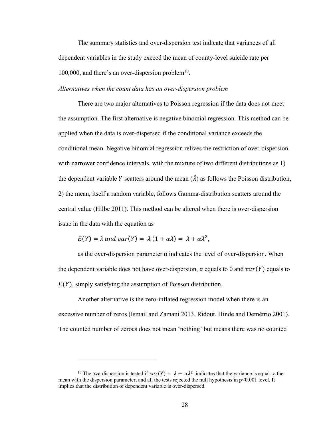The summary statistics and over-dispersion test indicate that variances of all dependent variables in the study exceed the mean of county-level suicide rate per 100,000, and there's an over-dispersion problem $10$ .

*Alternatives when the count data has an over-dispersion problem*

There are two major alternatives to Poisson regression if the data does not meet the assumption. The first alternative is negative binomial regression. This method can be applied when the data is over-dispersed if the conditional variance exceeds the conditional mean. Negative binomial regression relives the restriction of over-dispersion with narrower confidence intervals, with the mixture of two different distributions as 1) the dependent variable Y scatters around the mean  $(\tilde{\lambda})$  as follows the Poisson distribution, 2) the mean, itself a random variable, follows Gamma-distribution scatters around the central value (Hilbe 2011). This method can be altered when there is over-dispersion issue in the data with the equation as

$$
E(Y) = \lambda \text{ and } var(Y) = \lambda (1 + \alpha \lambda) = \lambda + \alpha \lambda^{2},
$$

as the over-dispersion parameter  $\alpha$  indicates the level of over-dispersion. When the dependent variable does not have over-dispersion,  $\alpha$  equals to 0 and  $var(Y)$  equals to  $E(Y)$ , simply satisfying the assumption of Poisson distribution.

Another alternative is the zero-inflated regression model when there is an excessive number of zeros (Ismail and Zamani 2013, Ridout, Hinde and Demétrio 2001). The counted number of zeroes does not mean 'nothing' but means there was no counted

<sup>&</sup>lt;sup>10</sup> The overdispersion is tested if  $var(Y) = \lambda + \alpha \lambda^2$  indicates that the variance is equal to the mean with the dispersion parameter, and all the tests rejected the null hypothesis in p<0.001 level. It implies that the distribution of dependent variable is over-dispersed.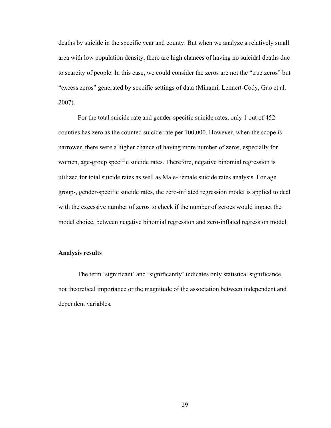deaths by suicide in the specific year and county. But when we analyze a relatively small area with low population density, there are high chances of having no suicidal deaths due to scarcity of people. In this case, we could consider the zeros are not the "true zeros" but "excess zeros" generated by specific settings of data (Minami, Lennert-Cody, Gao et al. 2007).

For the total suicide rate and gender-specific suicide rates, only 1 out of 452 counties has zero as the counted suicide rate per 100,000. However, when the scope is narrower, there were a higher chance of having more number of zeros, especially for women, age-group specific suicide rates. Therefore, negative binomial regression is utilized for total suicide rates as well as Male-Female suicide rates analysis. For age group-, gender-specific suicide rates, the zero-inflated regression model is applied to deal with the excessive number of zeros to check if the number of zeroes would impact the model choice, between negative binomial regression and zero-inflated regression model.

#### **Analysis results**

The term 'significant' and 'significantly' indicates only statistical significance, not theoretical importance or the magnitude of the association between independent and dependent variables.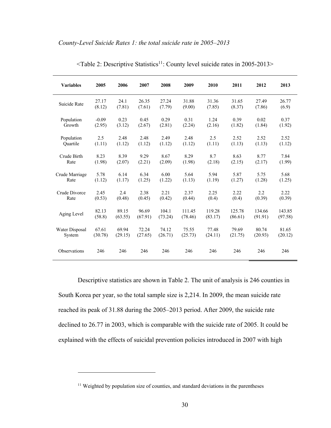| <b>Variables</b> | 2005    | 2006    | 2007    | 2008    | 2009    | 2010    | 2011    | 2012    | 2013    |
|------------------|---------|---------|---------|---------|---------|---------|---------|---------|---------|
| Suicide Rate     | 27.17   | 24.1    | 26.35   | 27.24   | 31.88   | 31.36   | 31.65   | 27.49   | 26.77   |
|                  | (8.12)  | (7.81)  | (7.61)  | (7.79)  | (9.00)  | (7.85)  | (8.37)  | (7.86)  | (6.9)   |
| Population       | $-0.09$ | 0.23    | 0.45    | 0.29    | 0.31    | 1.24    | 0.39    | 0.02    | 0.37    |
| Growth           | (2.95)  | (3.12)  | (2.67)  | (2.81)  | (2.24)  | (2.16)  | (1.82)  | (1.84)  | (1.92)  |
| Population       | 2.5     | 2.48    | 2.48    | 2.49    | 2.48    | 2.5     | 2.52    | 2.52    | 2.52    |
| Ouartile         | (1.11)  | (1.12)  | (1.12)  | (1.12)  | (1.12)  | (1.11)  | (1.13)  | (1.13)  | (1.12)  |
| Crude Birth      | 8.23    | 8.39    | 9.29    | 8.67    | 8.29    | 8.7     | 8.63    | 8.77    | 7.84    |
| Rate             | (1.98)  | (2.07)  | (2.21)  | (2.09)  | (1.98)  | (2.18)  | (2.15)  | (2.17)  | (1.99)  |
| Crude Marriage   | 5.78    | 6.14    | 6.34    | 6.00    | 5.64    | 5.94    | 5.87    | 5.75    | 5.68    |
| Rate             | (1.12)  | (1.17)  | (1.25)  | (1.22)  | (1.13)  | (1.19)  | (1.27)  | (1.28)  | (1.25)  |
| Crude Divorce    | 2.45    | 2.4     | 2.38    | 2.21    | 2.37    | 2.25    | 2.22    | 2.2     | 2.22    |
| Rate             | (0.53)  | (0.48)  | (0.45)  | (0.42)  | (0.44)  | (0.4)   | (0.4)   | (0.39)  | (0.39)  |
| Aging Level      | 82.13   | 89.15   | 96.69   | 104.1   | 111.45  | 119.28  | 125.78  | 134.66  | 143.85  |
|                  | (58.8)  | (63.55) | (67.91) | (73.24) | (78.46) | (83.17) | (86.61) | (91.91) | (97.58) |
| Water Disposal   | 67.61   | 69.94   | 72.24   | 74.12   | 75.55   | 77.48   | 79.69   | 80.74   | 81.65   |
| System           | (30.78) | (29.15) | (27.65) | (26.71) | (25.73) | (24.11) | (21.75) | (20.93) | (20.12) |
| Observations     | 246     | 246     | 246     | 246     | 246     | 246     | 246     | 246     | 246     |

<Table 2: Descriptive Statistics11: County level suicide rates in 2005-2013>

Descriptive statistics are shown in Table 2. The unit of analysis is 246 counties in South Korea per year, so the total sample size is 2,214. In 2009, the mean suicide rate reached its peak of 31.88 during the 2005–2013 period. After 2009, the suicide rate declined to 26.77 in 2003, which is comparable with the suicide rate of 2005. It could be explained with the effects of suicidal prevention policies introduced in 2007 with high

<sup>&</sup>lt;sup>11</sup> Weighted by population size of counties, and standard deviations in the parentheses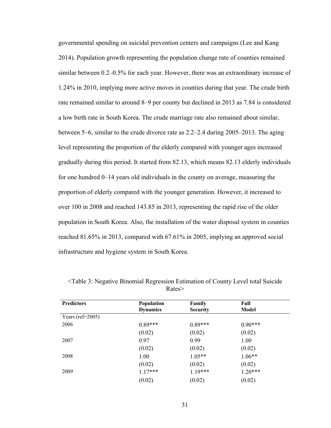governmental spending on suicidal prevention centers and campaigns (Lee and Kang 2014). Population growth representing the population change rate of counties remained similar between 0.2–0.5% for each year. However, there was an extraordinary increase of 1.24% in 2010, implying more active moves in counties during that year. The crude birth rate remained similar to around 8–9 per county but declined in 2013 as 7.84 is considered a low birth rate in South Korea. The crude marriage rate also remained about similar, between 5–6, similar to the crude divorce rate as 2.2–2.4 during 2005–2013. The aging level representing the proportion of the elderly compared with younger ages increased gradually during this period. It started from 82.13, which means 82.13 elderly individuals for one hundred 0–14 years old individuals in the county on average, measuring the proportion of elderly compared with the younger generation. However, it increased to over 100 in 2008 and reached 143.85 in 2013, representing the rapid rise of the older population in South Korea. Also, the installation of the water disposal system in counties reached 81.65% in 2013, compared with 67.61% in 2005, implying an approved social infrastructure and hygiene system in South Korea.

| <b>Predictors</b>    | Population      | Family          | Full      |  |
|----------------------|-----------------|-----------------|-----------|--|
|                      | <b>Dynamics</b> | <b>Security</b> | Model     |  |
| Years (ref= $2005$ ) |                 |                 |           |  |
| 2006                 | $0.89***$       | $0.89***$       | $0.90***$ |  |
|                      | (0.02)          | (0.02)          | (0.02)    |  |
| 2007                 | 0.97            | 0.99            | 1.00      |  |
|                      | (0.02)          | (0.02)          | (0.02)    |  |
| 2008                 | 1.00            | $1.05**$        | $1.06**$  |  |
|                      | (0.02)          | (0.02)          | (0.02)    |  |
| 2009                 | $1.17***$       | $1.19***$       | $1.20***$ |  |
|                      | (0.02)          | (0.02)          | (0.02)    |  |

<Table 3: Negative Binomial Regression Estimation of County Level total Suicide Rates>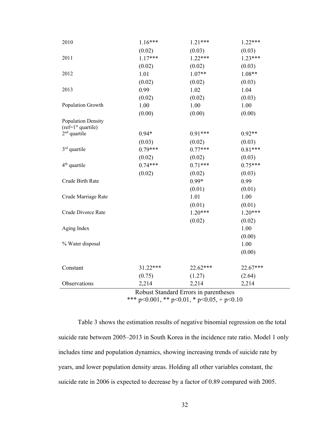| 2010                                       | $1.16***$ | $1.21***$ | $1.22***$ |  |  |  |
|--------------------------------------------|-----------|-----------|-----------|--|--|--|
|                                            | (0.02)    | (0.03)    | (0.03)    |  |  |  |
| 2011                                       | $1.17***$ | $1.22***$ | $1.23***$ |  |  |  |
|                                            | (0.02)    | (0.02)    | (0.03)    |  |  |  |
| 2012                                       | 1.01      | $1.07**$  | $1.08**$  |  |  |  |
|                                            | (0.02)    | (0.02)    | (0.03)    |  |  |  |
| 2013                                       | 0.99      | 1.02      | 1.04      |  |  |  |
|                                            | (0.02)    | (0.02)    | (0.03)    |  |  |  |
| Population Growth                          | 1.00      | 1.00      | 1.00      |  |  |  |
|                                            | (0.00)    | (0.00)    | (0.00)    |  |  |  |
| Population Density<br>$(ref=1st quartile)$ |           |           |           |  |  |  |
| $2nd$ quartile                             | $0.94*$   | $0.91***$ | $0.92**$  |  |  |  |
|                                            | (0.03)    | (0.02)    | (0.03)    |  |  |  |
| $3rd$ quartile                             | $0.79***$ | $0.77***$ | $0.81***$ |  |  |  |
|                                            | (0.02)    | (0.02)    | (0.03)    |  |  |  |
| 4 <sup>th</sup> quartile                   | $0.74***$ | $0.71***$ | $0.75***$ |  |  |  |
|                                            | (0.02)    | (0.02)    | (0.03)    |  |  |  |
| Crude Birth Rate                           |           | $0.99*$   | 0.99      |  |  |  |
|                                            |           | (0.01)    | (0.01)    |  |  |  |
| Crude Marriage Rate                        |           | 1.01      | 1.00      |  |  |  |
|                                            |           | (0.01)    | (0.01)    |  |  |  |
| Crude Divorce Rate                         |           | $1.20***$ | $1.20***$ |  |  |  |
|                                            |           | (0.02)    | (0.02)    |  |  |  |
| Aging Index                                |           |           | 1.00      |  |  |  |
|                                            |           |           | (0.00)    |  |  |  |
| % Water disposal                           |           |           | 1.00      |  |  |  |
|                                            |           |           | (0.00)    |  |  |  |
| Constant                                   | 31.22***  | 22.62***  | 22.67***  |  |  |  |
|                                            | (0.75)    | (1.27)    | (2.64)    |  |  |  |
| Observations                               | 2,214     | 2,214     | 2,214     |  |  |  |
| Robust Standard Errors in narentheses      |           |           |           |  |  |  |

Robust Standard Errors in parentheses

\*\*\* p<0.001, \*\* p<0.01, \* p<0.05, + p<0.10

Table 3 shows the estimation results of negative binomial regression on the total suicide rate between 2005–2013 in South Korea in the incidence rate ratio. Model 1 only includes time and population dynamics, showing increasing trends of suicide rate by years, and lower population density areas. Holding all other variables constant, the suicide rate in 2006 is expected to decrease by a factor of 0.89 compared with 2005.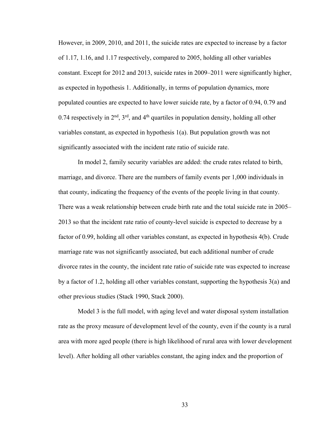However, in 2009, 2010, and 2011, the suicide rates are expected to increase by a factor of 1.17, 1.16, and 1.17 respectively, compared to 2005, holding all other variables constant. Except for 2012 and 2013, suicide rates in 2009–2011 were significantly higher, as expected in hypothesis 1. Additionally, in terms of population dynamics, more populated counties are expected to have lower suicide rate, by a factor of 0.94, 0.79 and 0.74 respectively in  $2<sup>nd</sup>$ ,  $3<sup>rd</sup>$ , and  $4<sup>th</sup>$  quartiles in population density, holding all other variables constant, as expected in hypothesis 1(a). But population growth was not significantly associated with the incident rate ratio of suicide rate.

In model 2, family security variables are added: the crude rates related to birth, marriage, and divorce. There are the numbers of family events per 1,000 individuals in that county, indicating the frequency of the events of the people living in that county. There was a weak relationship between crude birth rate and the total suicide rate in 2005– 2013 so that the incident rate ratio of county-level suicide is expected to decrease by a factor of 0.99, holding all other variables constant, as expected in hypothesis 4(b). Crude marriage rate was not significantly associated, but each additional number of crude divorce rates in the county, the incident rate ratio of suicide rate was expected to increase by a factor of 1.2, holding all other variables constant, supporting the hypothesis 3(a) and other previous studies (Stack 1990, Stack 2000).

Model 3 is the full model, with aging level and water disposal system installation rate as the proxy measure of development level of the county, even if the county is a rural area with more aged people (there is high likelihood of rural area with lower development level). After holding all other variables constant, the aging index and the proportion of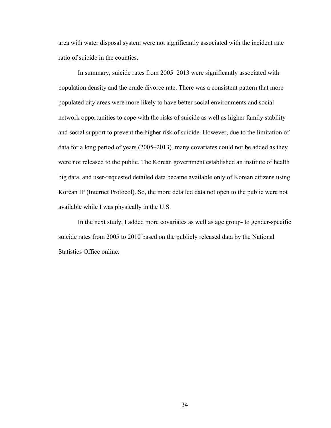area with water disposal system were not significantly associated with the incident rate ratio of suicide in the counties.

In summary, suicide rates from 2005–2013 were significantly associated with population density and the crude divorce rate. There was a consistent pattern that more populated city areas were more likely to have better social environments and social network opportunities to cope with the risks of suicide as well as higher family stability and social support to prevent the higher risk of suicide. However, due to the limitation of data for a long period of years (2005–2013), many covariates could not be added as they were not released to the public. The Korean government established an institute of health big data, and user-requested detailed data became available only of Korean citizens using Korean IP (Internet Protocol). So, the more detailed data not open to the public were not available while I was physically in the U.S.

In the next study, I added more covariates as well as age group- to gender-specific suicide rates from 2005 to 2010 based on the publicly released data by the National Statistics Office online.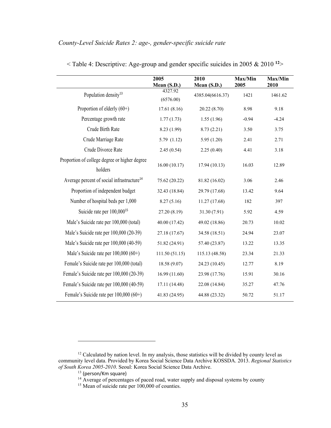# *County-Level Suicide Rates 2: age-, gender-specific suicide rate*

|                                                          | 2005<br>Mean (S.D.)  | 2010<br>Mean (S.D.) | Max/Min<br>2005 | Max/Min<br>2010 |
|----------------------------------------------------------|----------------------|---------------------|-----------------|-----------------|
| Population density <sup>13</sup>                         | 4327.92<br>(6576.00) | 4385.04(6616.37)    | 1421            | 1461.62         |
| Proportion of elderly $(60+)$                            | 17.61(8.16)          | 20.22 (8.70)        | 8.98            | 9.18            |
| Percentage growth rate                                   | 1.77(1.73)           | 1.55(1.96)          | $-0.94$         | $-4.24$         |
| Crude Birth Rate                                         | 8.23 (1.99)          | 8.73(2.21)          | 3.50            | 3.75            |
| Crude Marriage Rate                                      | 5.79(1.12)           | 5.95(1.20)          | 2.41            | 2.71            |
| Crude Divorce Rate                                       | 2.45(0.54)           | 2.25(0.40)          | 4.41            | 3.18            |
| Proportion of college degree or higher degree<br>holders | 16.00(10.17)         | 17.94 (10.13)       | 16.03           | 12.89           |
| Average percent of social infrastructure <sup>14</sup>   | 75.62 (20.22)        | 81.82 (16.02)       | 3.06            | 2.46            |
| Proportion of independent budget                         | 32.43 (18.84)        | 29.79 (17.68)       | 13.42           | 9.64            |
| Number of hospital beds per 1,000                        | 8.27(5.16)           | 11.27 (17.68)       | 182             | 397             |
| Suicide rate per 100,000 <sup>15</sup>                   | 27.20(8.19)          | 31.30 (7.91)        | 5.92            | 4.59            |
| Male's Suicide rate per 100,000 (total)                  | 40.00 (17.42)        | 49.02 (18.86)       | 20.73           | 10.02           |
| Male's Suicide rate per 100,000 (20-39)                  | 27.18 (17.67)        | 34.58 (18.51)       | 24.94           | 23.07           |
| Male's Suicide rate per 100,000 (40-59)                  | 51.82 (24.91)        | 57.40 (23.87)       | 13.22           | 13.35           |
| Male's Suicide rate per $100,000(60+)$                   | 111.50(51.15)        | 115.13 (48.58)      | 23.34           | 21.33           |
| Female's Suicide rate per 100,000 (total)                | 18.58 (9.07)         | 24.23 (10.45)       | 12.77           | 8.19            |
| Female's Suicide rate per 100,000 (20-39)                | 16.99(11.60)         | 23.98 (17.76)       | 15.91           | 30.16           |
| Female's Suicide rate per 100,000 (40-59)                | 17.11 (14.48)        | 22.08 (14.84)       | 35.27           | 47.76           |
| Female's Suicide rate per 100,000 (60+)                  | 41.83 (24.95)        | 44.88 (23.32)       | 50.72           | 51.17           |

< Table 4: Descriptive: Age-group and gender specific suicides in 2005 & 2010 **<sup>12</sup>**>

 $12$  Calculated by nation level. In my analysis, those statistics will be divided by county level as community level data. Provided by Korea Social Science Data Archive KOSSDA. 2013. *Regional Statistics of South Korea 2005-2010*. Seoul: Korea Social Science Data Archive.

 $13$  (person/Km square)

<sup>&</sup>lt;sup>14</sup> Average of percentages of paced road, water supply and disposal systems by county

<sup>&</sup>lt;sup>15</sup> Mean of suicide rate per 100,000 of counties.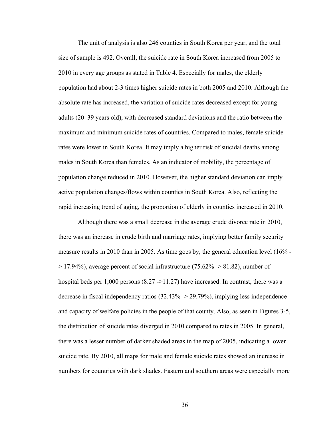The unit of analysis is also 246 counties in South Korea per year, and the total size of sample is 492. Overall, the suicide rate in South Korea increased from 2005 to 2010 in every age groups as stated in Table 4. Especially for males, the elderly population had about 2-3 times higher suicide rates in both 2005 and 2010. Although the absolute rate has increased, the variation of suicide rates decreased except for young adults (20–39 years old), with decreased standard deviations and the ratio between the maximum and minimum suicide rates of countries. Compared to males, female suicide rates were lower in South Korea. It may imply a higher risk of suicidal deaths among males in South Korea than females. As an indicator of mobility, the percentage of population change reduced in 2010. However, the higher standard deviation can imply active population changes/flows within counties in South Korea. Also, reflecting the rapid increasing trend of aging, the proportion of elderly in counties increased in 2010.

Although there was a small decrease in the average crude divorce rate in 2010, there was an increase in crude birth and marriage rates, implying better family security measure results in 2010 than in 2005. As time goes by, the general education level (16% -  $> 17.94\%$ ), average percent of social infrastructure (75.62% - $> 81.82$ ), number of hospital beds per 1,000 persons (8.27 ->11.27) have increased. In contrast, there was a decrease in fiscal independency ratios (32.43% -> 29.79%), implying less independence and capacity of welfare policies in the people of that county. Also, as seen in Figures 3-5, the distribution of suicide rates diverged in 2010 compared to rates in 2005. In general, there was a lesser number of darker shaded areas in the map of 2005, indicating a lower suicide rate. By 2010, all maps for male and female suicide rates showed an increase in numbers for countries with dark shades. Eastern and southern areas were especially more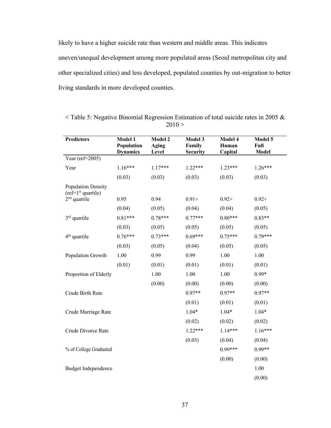likely to have a higher suicide rate than western and middle areas. This indicates uneven/unequal development among more populated areas (Seoul metropolitan city and other specialized cities) and less developed, populated counties by out-migration to better living standards in more developed counties.

| <b>Predictors</b>                          | Model 1<br>Population<br><b>Dynamics</b> | <b>Model 2</b><br>Aging<br>Level | Model 3<br>Family<br><b>Security</b> | Model 4<br>Human<br>Capital | Model 5<br>Full<br><b>Model</b> |
|--------------------------------------------|------------------------------------------|----------------------------------|--------------------------------------|-----------------------------|---------------------------------|
| Year (ref= $2005$ )                        |                                          |                                  |                                      |                             |                                 |
| Year                                       | $1.16***$                                | $1.17***$                        | $1.22***$                            | $1.23***$                   | $1.26***$                       |
|                                            | (0.03)                                   | (0.03)                           | (0.03)                               | (0.03)                      | (0.03)                          |
| Population Density<br>$(ref=1st quartile)$ |                                          |                                  |                                      |                             |                                 |
| $2nd$ quartile                             | 0.95                                     | 0.94                             | $0.91 +$                             | $0.92 +$                    | $0.92 +$                        |
|                                            | (0.04)                                   | (0.05)                           | (0.04)                               | (0.04)                      | (0.05)                          |
| $3rd$ quartile                             | $0.81***$                                | $0.78***$                        | $0.77***$                            | $0.80***$                   | $0.83**$                        |
|                                            | (0.03)                                   | (0.05)                           | (0.05)                               | (0.05)                      | (0.05)                          |
| $4th$ quartile                             | $0.76***$                                | $0.73***$                        | $0.69***$                            | $0.75***$                   | $0.79***$                       |
|                                            | (0.03)                                   | (0.05)                           | (0.04)                               | (0.05)                      | (0.05)                          |
| Population Growth                          | 1.00                                     | 0.99                             | 0.99                                 | 1.00                        | 1.00                            |
|                                            | (0.01)                                   | (0.01)                           | (0.01)                               | (0.01)                      | (0.01)                          |
| Proportion of Elderly                      |                                          | 1.00                             | 1.00                                 | 1.00                        | $0.99*$                         |
|                                            |                                          | (0.00)                           | (0.00)                               | (0.00)                      | (0.00)                          |
| Crude Birth Rate                           |                                          |                                  | $0.97**$                             | $0.97**$                    | $0.97**$                        |
|                                            |                                          |                                  | (0.01)                               | (0.01)                      | (0.01)                          |
| Crude Marriage Rate                        |                                          |                                  | $1.04*$                              | $1.04*$                     | $1.04*$                         |
|                                            |                                          |                                  | (0.02)                               | (0.02)                      | (0.02)                          |
| Crude Divorce Rate                         |                                          |                                  | $1.22***$                            | $1.14***$                   | $1.16***$                       |
|                                            |                                          |                                  | (0.03)                               | (0.04)                      | (0.04)                          |
| % of College Graduated                     |                                          |                                  |                                      | $0.99***$                   | $0.99**$                        |
|                                            |                                          |                                  |                                      | (0.00)                      | (0.00)                          |
| Budget Independence                        |                                          |                                  |                                      |                             | 1.00                            |
|                                            |                                          |                                  |                                      |                             | (0.00)                          |

< Table 5: Negative Binomial Regression Estimation of total suicide rates in 2005 &  $2010 >$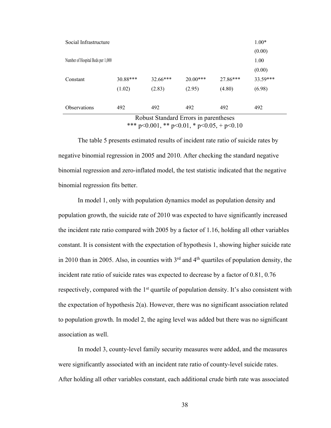| <b>Observations</b>               | 492      | 492      | 492        | 492      | 492      |
|-----------------------------------|----------|----------|------------|----------|----------|
|                                   | (1.02)   | (2.83)   | (2.95)     | (4.80)   | (6.98)   |
| Constant                          | 30.88*** | 32.66*** | $20.00***$ | 27.86*** | 33.59*** |
|                                   |          |          |            |          | (0.00)   |
| Number of Hospital Beds per 1,000 |          |          |            |          | 1.00     |
|                                   |          |          |            |          | (0.00)   |
| Social Infrastructure             |          |          |            |          | $1.00*$  |

Robust Standard Errors in parentheses \*\*\* p<0.001, \*\* p<0.01, \* p<0.05, + p<0.10

The table 5 presents estimated results of incident rate ratio of suicide rates by negative binomial regression in 2005 and 2010. After checking the standard negative binomial regression and zero-inflated model, the test statistic indicated that the negative binomial regression fits better.

In model 1, only with population dynamics model as population density and population growth, the suicide rate of 2010 was expected to have significantly increased the incident rate ratio compared with 2005 by a factor of 1.16, holding all other variables constant. It is consistent with the expectation of hypothesis 1, showing higher suicide rate in 2010 than in 2005. Also, in counties with  $3<sup>rd</sup>$  and  $4<sup>th</sup>$  quartiles of population density, the incident rate ratio of suicide rates was expected to decrease by a factor of 0.81, 0.76 respectively, compared with the  $1<sup>st</sup>$  quartile of population density. It's also consistent with the expectation of hypothesis 2(a). However, there was no significant association related to population growth. In model 2, the aging level was added but there was no significant association as well.

In model 3, county-level family security measures were added, and the measures were significantly associated with an incident rate ratio of county-level suicide rates. After holding all other variables constant, each additional crude birth rate was associated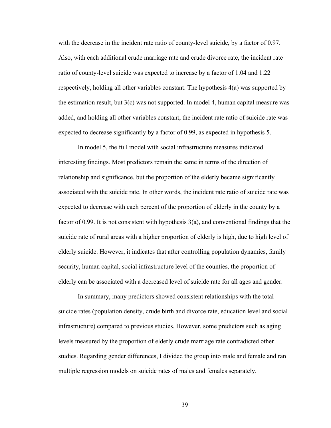with the decrease in the incident rate ratio of county-level suicide, by a factor of 0.97. Also, with each additional crude marriage rate and crude divorce rate, the incident rate ratio of county-level suicide was expected to increase by a factor of 1.04 and 1.22 respectively, holding all other variables constant. The hypothesis 4(a) was supported by the estimation result, but  $3(c)$  was not supported. In model 4, human capital measure was added, and holding all other variables constant, the incident rate ratio of suicide rate was expected to decrease significantly by a factor of 0.99, as expected in hypothesis 5.

In model 5, the full model with social infrastructure measures indicated interesting findings. Most predictors remain the same in terms of the direction of relationship and significance, but the proportion of the elderly became significantly associated with the suicide rate. In other words, the incident rate ratio of suicide rate was expected to decrease with each percent of the proportion of elderly in the county by a factor of 0.99. It is not consistent with hypothesis 3(a), and conventional findings that the suicide rate of rural areas with a higher proportion of elderly is high, due to high level of elderly suicide. However, it indicates that after controlling population dynamics, family security, human capital, social infrastructure level of the counties, the proportion of elderly can be associated with a decreased level of suicide rate for all ages and gender.

In summary, many predictors showed consistent relationships with the total suicide rates (population density, crude birth and divorce rate, education level and social infrastructure) compared to previous studies. However, some predictors such as aging levels measured by the proportion of elderly crude marriage rate contradicted other studies. Regarding gender differences, I divided the group into male and female and ran multiple regression models on suicide rates of males and females separately.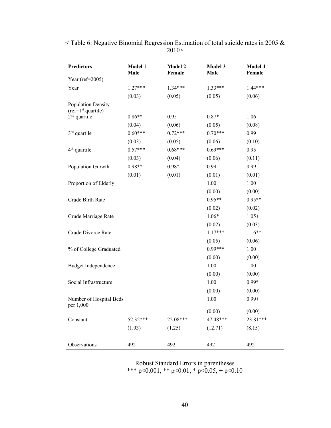| <b>Predictors</b>                          | Model 1<br>Male | Model 2<br>Female | Model 3<br>Male | Model 4<br>Female |
|--------------------------------------------|-----------------|-------------------|-----------------|-------------------|
| Year (ref=2005)                            |                 |                   |                 |                   |
| Year                                       | $1.27***$       | $1.34***$         | $1.33***$       | 1.44***           |
|                                            | (0.03)          | (0.05)            | (0.05)          | (0.06)            |
| Population Density<br>$(ref=1st quartile)$ |                 |                   |                 |                   |
| $2nd$ quartile                             | $0.86**$        | 0.95              | $0.87*$         | 1.06              |
|                                            | (0.04)          | (0.06)            | (0.05)          | (0.08)            |
| $3rd$ quartile                             | $0.60***$       | $0.72***$         | $0.70***$       | 0.99              |
|                                            | (0.03)          | (0.05)            | (0.06)          | (0.10)            |
| $4th$ quartile                             | $0.57***$       | $0.68***$         | $0.69***$       | 0.95              |
|                                            | (0.03)          | (0.04)            | (0.06)          | (0.11)            |
| Population Growth                          | $0.98**$        | $0.98*$           | 0.99            | 0.99              |
|                                            | (0.01)          | (0.01)            | (0.01)          | (0.01)            |
| Proportion of Elderly                      |                 |                   | 1.00            | 1.00              |
|                                            |                 |                   | (0.00)          | (0.00)            |
| Crude Birth Rate                           |                 |                   | $0.95**$        | $0.95**$          |
|                                            |                 |                   | (0.02)          | (0.02)            |
| Crude Marriage Rate                        |                 |                   | $1.06*$         | $1.05+$           |
|                                            |                 |                   | (0.02)          | (0.03)            |
| Crude Divorce Rate                         |                 |                   | $1.17***$       | $1.16**$          |
|                                            |                 |                   | (0.05)          | (0.06)            |
| % of College Graduated                     |                 |                   | $0.99***$       | 1.00              |
|                                            |                 |                   | (0.00)          | (0.00)            |
| Budget Independence                        |                 |                   | 1.00            | 1.00              |
|                                            |                 |                   | (0.00)          | (0.00)            |
| Social Infrastructure                      |                 |                   | 1.00            | $0.99*$           |
|                                            |                 |                   | (0.00)          | (0.00)            |
| Number of Hospital Beds<br>per 1,000       |                 |                   | 1.00            | $0.99 +$          |
|                                            |                 |                   | (0.00)          | (0.00)            |
| Constant                                   | 52.32***        | 22.08***          | 47.48***        | 23.81***          |
|                                            | (1.93)          | (1.25)            | (12.71)         | (8.15)            |
| Observations                               | 492             | 492               | 492             | 492               |

 $<$  Table 6: Negative Binomial Regression Estimation of total suicide rates in 2005 & 2010>

> Robust Standard Errors in parentheses \*\*\* p<0.001, \*\* p<0.01, \* p<0.05, + p<0.10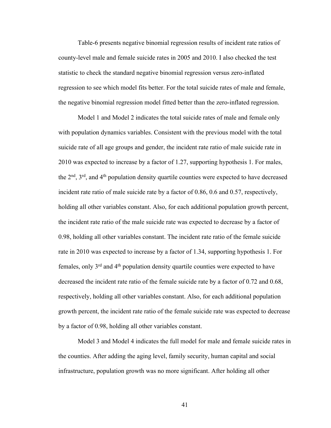Table-6 presents negative binomial regression results of incident rate ratios of county-level male and female suicide rates in 2005 and 2010. I also checked the test statistic to check the standard negative binomial regression versus zero-inflated regression to see which model fits better. For the total suicide rates of male and female, the negative binomial regression model fitted better than the zero-inflated regression.

Model 1 and Model 2 indicates the total suicide rates of male and female only with population dynamics variables. Consistent with the previous model with the total suicide rate of all age groups and gender, the incident rate ratio of male suicide rate in 2010 was expected to increase by a factor of 1.27, supporting hypothesis 1. For males, the  $2<sup>nd</sup>$ ,  $3<sup>rd</sup>$ , and  $4<sup>th</sup>$  population density quartile counties were expected to have decreased incident rate ratio of male suicide rate by a factor of 0.86, 0.6 and 0.57, respectively, holding all other variables constant. Also, for each additional population growth percent, the incident rate ratio of the male suicide rate was expected to decrease by a factor of 0.98, holding all other variables constant. The incident rate ratio of the female suicide rate in 2010 was expected to increase by a factor of 1.34, supporting hypothesis 1. For females, only  $3<sup>rd</sup>$  and  $4<sup>th</sup>$  population density quartile counties were expected to have decreased the incident rate ratio of the female suicide rate by a factor of 0.72 and 0.68, respectively, holding all other variables constant. Also, for each additional population growth percent, the incident rate ratio of the female suicide rate was expected to decrease by a factor of 0.98, holding all other variables constant.

Model 3 and Model 4 indicates the full model for male and female suicide rates in the counties. After adding the aging level, family security, human capital and social infrastructure, population growth was no more significant. After holding all other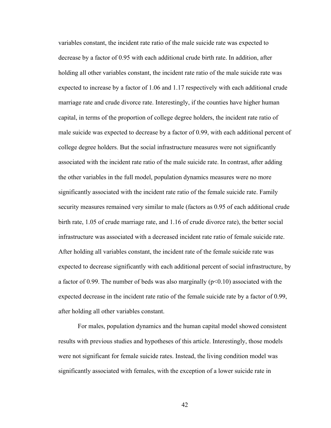variables constant, the incident rate ratio of the male suicide rate was expected to decrease by a factor of 0.95 with each additional crude birth rate. In addition, after holding all other variables constant, the incident rate ratio of the male suicide rate was expected to increase by a factor of 1.06 and 1.17 respectively with each additional crude marriage rate and crude divorce rate. Interestingly, if the counties have higher human capital, in terms of the proportion of college degree holders, the incident rate ratio of male suicide was expected to decrease by a factor of 0.99, with each additional percent of college degree holders. But the social infrastructure measures were not significantly associated with the incident rate ratio of the male suicide rate. In contrast, after adding the other variables in the full model, population dynamics measures were no more significantly associated with the incident rate ratio of the female suicide rate. Family security measures remained very similar to male (factors as 0.95 of each additional crude birth rate, 1.05 of crude marriage rate, and 1.16 of crude divorce rate), the better social infrastructure was associated with a decreased incident rate ratio of female suicide rate. After holding all variables constant, the incident rate of the female suicide rate was expected to decrease significantly with each additional percent of social infrastructure, by a factor of 0.99. The number of beds was also marginally  $(p<0.10)$  associated with the expected decrease in the incident rate ratio of the female suicide rate by a factor of 0.99, after holding all other variables constant.

For males, population dynamics and the human capital model showed consistent results with previous studies and hypotheses of this article. Interestingly, those models were not significant for female suicide rates. Instead, the living condition model was significantly associated with females, with the exception of a lower suicide rate in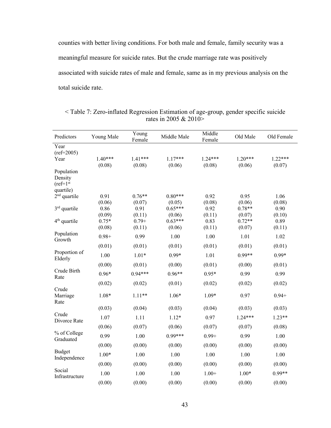counties with better living conditions. For both male and female, family security was a meaningful measure for suicide rates. But the crude marriage rate was positively associated with suicide rates of male and female, same as in my previous analysis on the total suicide rate.

| Predictors                           | Young Male | Young<br>Female | Middle Male | Middle<br>Female | Old Male  | Old Female |
|--------------------------------------|------------|-----------------|-------------|------------------|-----------|------------|
| Year                                 |            |                 |             |                  |           |            |
| $(ref=2005)$                         |            |                 |             |                  |           |            |
| Year                                 | $1.40***$  | $1.41***$       | $1.17***$   | $1.24***$        | $1.20***$ | $1.22***$  |
|                                      | (0.08)     | (0.08)          | (0.06)      | (0.08)           | (0.06)    | (0.07)     |
| Population<br>Density<br>$(ref=1st)$ |            |                 |             |                  |           |            |
| quartile)                            |            |                 |             |                  |           |            |
| $2nd$ quartile                       | 0.91       | $0.76**$        | $0.80***$   | 0.92             | 0.95      | 1.06       |
|                                      | (0.06)     | (0.07)          | (0.05)      | (0.08)           | (0.06)    | (0.08)     |
| $3rd$ quartile                       | 0.86       | 0.91            | $0.65***$   | 0.92             | $0.78**$  | 0.90       |
|                                      | (0.09)     | (0.11)          | (0.06)      | (0.11)           | (0.07)    | (0.10)     |
| 4 <sup>th</sup> quartile             | $0.75*$    | $0.79 +$        | $0.63***$   | 0.83             | $0.72**$  | 0.89       |
|                                      | (0.08)     | (0.11)          | (0.06)      | (0.11)           | (0.07)    | (0.11)     |
| Population<br>Growth                 | $0.98 +$   | 0.99            | 1.00        | 1.00             | 1.01      | 1.02       |
|                                      | (0.01)     | (0.01)          | (0.01)      | (0.01)           | (0.01)    | (0.01)     |
| Proportion of<br>Elderly             | 1.00       | $1.01*$         | $0.99*$     | 1.01             | $0.99**$  | $0.99*$    |
|                                      | (0.00)     | (0.01)          | (0.00)      | (0.01)           | (0.00)    | (0.01)     |
| Crude Birth<br>Rate                  | $0.96*$    | $0.94***$       | $0.96**$    | $0.95*$          | 0.99      | 0.99       |
|                                      | (0.02)     | (0.02)          | (0.01)      | (0.02)           | (0.02)    | (0.02)     |
| Crude<br>Marriage<br>Rate            | $1.08*$    | $1.11**$        | $1.06*$     | $1.09*$          | 0.97      | $0.94 +$   |
|                                      | (0.03)     | (0.04)          | (0.03)      | (0.04)           | (0.03)    | (0.03)     |
| Crude<br>Divorce Rate                | 1.07       | 1.11            | $1.12*$     | 0.97             | $1.24***$ | $1.23**$   |
|                                      | (0.06)     | (0.07)          | (0.06)      | (0.07)           | (0.07)    | (0.08)     |
| % of College<br>Graduated            | 0.99       | 1.00            | $0.99***$   | $0.99 +$         | 0.99      | 1.00       |
|                                      | (0.00)     | (0.00)          | (0.00)      | (0.00)           | (0.00)    | (0.00)     |
| <b>Budget</b><br>Independence        | $1.00*$    | 1.00            | 1.00        | 1.00             | 1.00      | 1.00       |
|                                      | (0.00)     | (0.00)          | (0.00)      | (0.00)           | (0.00)    | (0.00)     |
| Social<br>Infrastructure             | 1.00       | 1.00            | 1.00        | $1.00+$          | $1.00*$   | $0.99**$   |
|                                      | (0.00)     | (0.00)          | (0.00)      | (0.00)           | (0.00)    | (0.00)     |

< Table 7: Zero-inflated Regression Estimation of age-group, gender specific suicide rates in 2005 & 2010>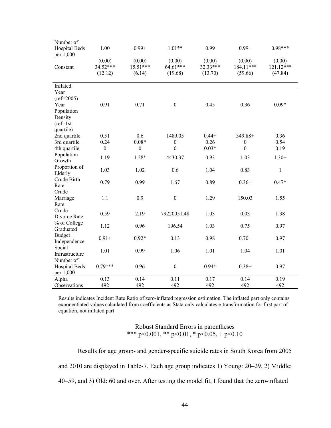| Number of            |                  |                  |                  |          |                  |           |
|----------------------|------------------|------------------|------------------|----------|------------------|-----------|
| <b>Hospital Beds</b> | 1.00             | $0.99 +$         | $1.01**$         | 0.99     | $0.99 +$         | $0.98***$ |
| per 1,000            |                  |                  |                  |          |                  |           |
|                      | (0.00)           | (0.00)           | (0.00)           | (0.00)   | (0.00)           | (0.00)    |
| Constant             | 34.52***         | $15.51***$       | 64.61***         | 32.33*** | 184.11***        | 121.12*** |
|                      | (12.12)          | (6.14)           | (19.68)          | (13.70)  | (59.66)          | (47.84)   |
| Inflated             |                  |                  |                  |          |                  |           |
| Year                 |                  |                  |                  |          |                  |           |
|                      |                  |                  |                  |          |                  |           |
| $(ref=2005)$         |                  |                  |                  |          |                  |           |
| Year                 | 0.91             | 0.71             | $\boldsymbol{0}$ | 0.45     | 0.36             | $0.09*$   |
| Population           |                  |                  |                  |          |                  |           |
| Density              |                  |                  |                  |          |                  |           |
| $(ref=1st$           |                  |                  |                  |          |                  |           |
| quartile)            |                  |                  |                  |          |                  |           |
| 2nd quartile         | 0.51             | 0.6              | 1489.05          | $0.44+$  | 349.88+          | 0.36      |
| 3rd quartile         | 0.24             | $0.08*$          | $\boldsymbol{0}$ | 0.26     | $\boldsymbol{0}$ | 0.54      |
| 4th quartile         | $\boldsymbol{0}$ | $\boldsymbol{0}$ | $\mathbf{0}$     | $0.03*$  | $\boldsymbol{0}$ | 0.19      |
| Population           | 1.19             | $1.28*$          | 4430.37          | 0.93     | 1.03             | $1.30+$   |
| Growth               |                  |                  |                  |          |                  |           |
| Proportion of        | 1.03             | 1.02             | 0.6              | 1.04     | 0.83             | 1         |
| Elderly              |                  |                  |                  |          |                  |           |
| Crude Birth          | 0.79             | 0.99             | 1.67             | 0.89     | $0.36+$          | $0.47*$   |
| Rate                 |                  |                  |                  |          |                  |           |
| Crude                |                  |                  |                  |          |                  |           |
| Marriage             | 1.1              | 0.9              | $\boldsymbol{0}$ | 1.29     | 150.03           | 1.55      |
| Rate                 |                  |                  |                  |          |                  |           |
| Crude                | 0.59             | 2.19             | 79220051.48      | 1.03     | 0.03             | 1.38      |
| Divorce Rate         |                  |                  |                  |          |                  |           |
| % of College         | 1.12             | 0.96             | 196.54           | 1.03     | 0.75             | 0.97      |
| Graduated            |                  |                  |                  |          |                  |           |
| <b>Budget</b>        | $0.91 +$         | $0.92*$          | 0.13             | 0.98     | $0.70+$          | 0.97      |
| Independence         |                  |                  |                  |          |                  |           |
| Social               |                  |                  |                  |          |                  |           |
| Infrastructure       | 1.01             | 0.99             | 1.06             | 1.01     | 1.04             | 1.01      |
| Number of            |                  |                  |                  |          |                  |           |
| Hospital Beds        | $0.79***$        | 0.96             | $\boldsymbol{0}$ | $0.94*$  | $0.38 +$         | 0.97      |
| per 1,000            |                  |                  |                  |          |                  |           |
| Alpha                | 0.13             | 0.14             | 0.11             | 0.17     | 0.14             | 0.19      |
| Observations         | 492              | 492              | 492              | 492      | 492              | 492       |

Results indicates Incident Rate Ratio of zero-inflated regression estimation. The inflated part only contains exponentiated values calculated from coefficients as Stata only calculates e-transformation for first part of equation, not inflated part

> Robust Standard Errors in parentheses \*\*\* p<0.001, \*\* p<0.01, \* p<0.05, + p<0.10

Results for age group- and gender-specific suicide rates in South Korea from 2005 and 2010 are displayed in Table-7. Each age group indicates 1) Young: 20–29, 2) Middle: 40–59, and 3) Old: 60 and over. After testing the model fit, I found that the zero-inflated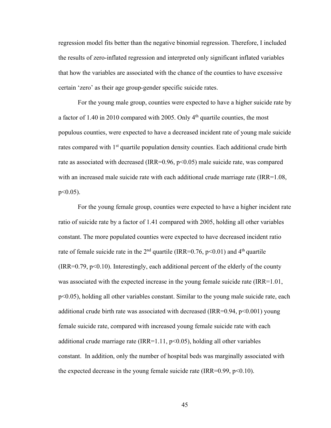regression model fits better than the negative binomial regression. Therefore, I included the results of zero-inflated regression and interpreted only significant inflated variables that how the variables are associated with the chance of the counties to have excessive certain 'zero' as their age group-gender specific suicide rates.

For the young male group, counties were expected to have a higher suicide rate by a factor of 1.40 in 2010 compared with 2005. Only  $4<sup>th</sup>$  quartile counties, the most populous counties, were expected to have a decreased incident rate of young male suicide rates compared with 1<sup>st</sup> quartile population density counties. Each additional crude birth rate as associated with decreased (IRR=0.96, p<0.05) male suicide rate, was compared with an increased male suicide rate with each additional crude marriage rate (IRR=1.08,  $p<0.05$ ).

For the young female group, counties were expected to have a higher incident rate ratio of suicide rate by a factor of 1.41 compared with 2005, holding all other variables constant. The more populated counties were expected to have decreased incident ratio rate of female suicide rate in the  $2<sup>nd</sup>$  quartile (IRR=0.76, p<0.01) and  $4<sup>th</sup>$  quartile  $(IRR=0.79, p<0.10)$ . Interestingly, each additional percent of the elderly of the county was associated with the expected increase in the young female suicide rate (IRR=1.01, p<0.05), holding all other variables constant. Similar to the young male suicide rate, each additional crude birth rate was associated with decreased (IRR= $0.94$ , p< $0.001$ ) young female suicide rate, compared with increased young female suicide rate with each additional crude marriage rate (IRR=1.11,  $p<0.05$ ), holding all other variables constant. In addition, only the number of hospital beds was marginally associated with the expected decrease in the young female suicide rate (IRR= $0.99$ ,  $p<0.10$ ).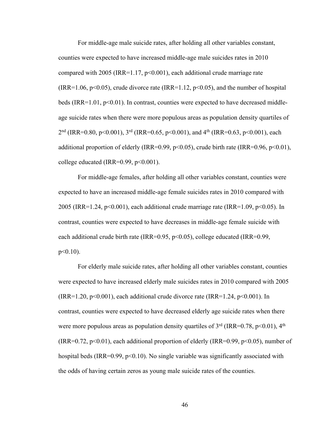For middle-age male suicide rates, after holding all other variables constant, counties were expected to have increased middle-age male suicides rates in 2010 compared with  $2005$  (IRR=1.17, p<0.001), each additional crude marriage rate (IRR=1.06,  $p<0.05$ ), crude divorce rate (IRR=1.12,  $p<0.05$ ), and the number of hospital beds (IRR=1.01,  $p<0.01$ ). In contrast, counties were expected to have decreased middleage suicide rates when there were more populous areas as population density quartiles of 2<sup>nd</sup> (IRR=0.80, p<0.001), 3<sup>rd</sup> (IRR=0.65, p<0.001), and 4<sup>th</sup> (IRR=0.63, p<0.001), each additional proportion of elderly (IRR=0.99, p<0.05), crude birth rate (IRR=0.96, p<0.01), college educated (IRR= $0.99$ ,  $p<0.001$ ).

For middle-age females, after holding all other variables constant, counties were expected to have an increased middle-age female suicides rates in 2010 compared with 2005 (IRR=1.24, p<0.001), each additional crude marriage rate (IRR=1.09, p<0.05). In contrast, counties were expected to have decreases in middle-age female suicide with each additional crude birth rate (IRR=0.95, p<0.05), college educated (IRR=0.99,  $p<0.10$ ).

For elderly male suicide rates, after holding all other variables constant, counties were expected to have increased elderly male suicides rates in 2010 compared with 2005 (IRR=1.20, p<0.001), each additional crude divorce rate (IRR=1.24, p<0.001). In contrast, counties were expected to have decreased elderly age suicide rates when there were more populous areas as population density quartiles of  $3<sup>rd</sup>$  (IRR=0.78, p<0.01), 4<sup>th</sup> (IRR=0.72,  $p<0.01$ ), each additional proportion of elderly (IRR=0.99,  $p<0.05$ ), number of hospital beds (IRR= $0.99$ ,  $p<0.10$ ). No single variable was significantly associated with the odds of having certain zeros as young male suicide rates of the counties.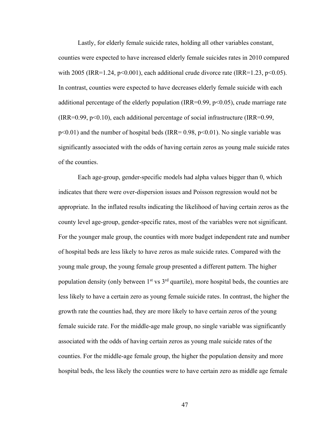Lastly, for elderly female suicide rates, holding all other variables constant, counties were expected to have increased elderly female suicides rates in 2010 compared with 2005 (IRR=1.24, p<0.001), each additional crude divorce rate (IRR=1.23, p<0.05). In contrast, counties were expected to have decreases elderly female suicide with each additional percentage of the elderly population (IRR=0.99, p<0.05), crude marriage rate  $(IRR=0.99, p<0.10)$ , each additional percentage of social infrastructure (IRR=0.99,  $p<0.01$ ) and the number of hospital beds (IRR= 0.98,  $p<0.01$ ). No single variable was significantly associated with the odds of having certain zeros as young male suicide rates of the counties.

Each age-group, gender-specific models had alpha values bigger than 0, which indicates that there were over-dispersion issues and Poisson regression would not be appropriate. In the inflated results indicating the likelihood of having certain zeros as the county level age-group, gender-specific rates, most of the variables were not significant. For the younger male group, the counties with more budget independent rate and number of hospital beds are less likely to have zeros as male suicide rates. Compared with the young male group, the young female group presented a different pattern. The higher population density (only between  $1<sup>st</sup>$  vs  $3<sup>rd</sup>$  quartile), more hospital beds, the counties are less likely to have a certain zero as young female suicide rates. In contrast, the higher the growth rate the counties had, they are more likely to have certain zeros of the young female suicide rate. For the middle-age male group, no single variable was significantly associated with the odds of having certain zeros as young male suicide rates of the counties. For the middle-age female group, the higher the population density and more hospital beds, the less likely the counties were to have certain zero as middle age female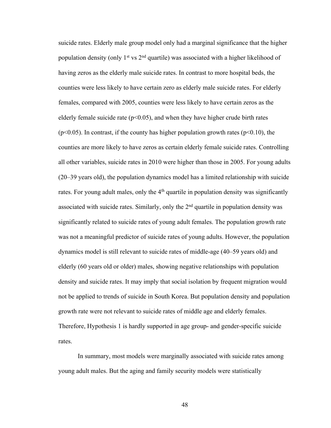suicide rates. Elderly male group model only had a marginal significance that the higher population density (only  $1<sup>st</sup>$  vs  $2<sup>nd</sup>$  quartile) was associated with a higher likelihood of having zeros as the elderly male suicide rates. In contrast to more hospital beds, the counties were less likely to have certain zero as elderly male suicide rates. For elderly females, compared with 2005, counties were less likely to have certain zeros as the elderly female suicide rate ( $p<0.05$ ), and when they have higher crude birth rates  $(p<0.05)$ . In contrast, if the county has higher population growth rates  $(p<0.10)$ , the counties are more likely to have zeros as certain elderly female suicide rates. Controlling all other variables, suicide rates in 2010 were higher than those in 2005. For young adults (20–39 years old), the population dynamics model has a limited relationship with suicide rates. For young adult males, only the  $4<sup>th</sup>$  quartile in population density was significantly associated with suicide rates. Similarly, only the  $2<sup>nd</sup>$  quartile in population density was significantly related to suicide rates of young adult females. The population growth rate was not a meaningful predictor of suicide rates of young adults. However, the population dynamics model is still relevant to suicide rates of middle-age (40–59 years old) and elderly (60 years old or older) males, showing negative relationships with population density and suicide rates. It may imply that social isolation by frequent migration would not be applied to trends of suicide in South Korea. But population density and population growth rate were not relevant to suicide rates of middle age and elderly females. Therefore, Hypothesis 1 is hardly supported in age group- and gender-specific suicide rates.

In summary, most models were marginally associated with suicide rates among young adult males. But the aging and family security models were statistically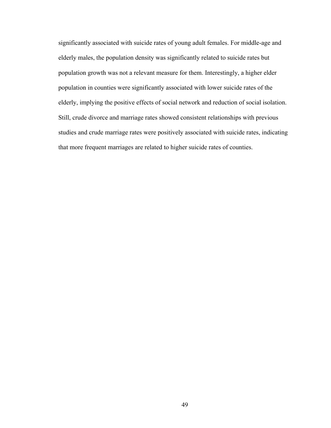significantly associated with suicide rates of young adult females. For middle-age and elderly males, the population density was significantly related to suicide rates but population growth was not a relevant measure for them. Interestingly, a higher elder population in counties were significantly associated with lower suicide rates of the elderly, implying the positive effects of social network and reduction of social isolation. Still, crude divorce and marriage rates showed consistent relationships with previous studies and crude marriage rates were positively associated with suicide rates, indicating that more frequent marriages are related to higher suicide rates of counties.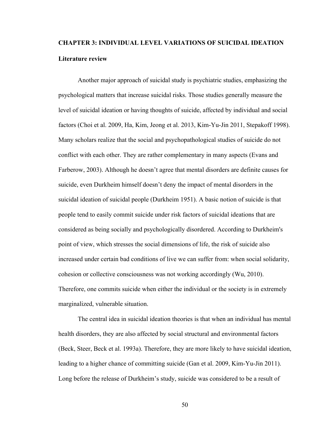# **CHAPTER 3: INDIVIDUAL LEVEL VARIATIONS OF SUICIDAL IDEATION Literature review**

Another major approach of suicidal study is psychiatric studies, emphasizing the psychological matters that increase suicidal risks. Those studies generally measure the level of suicidal ideation or having thoughts of suicide, affected by individual and social factors (Choi et al. 2009, Ha, Kim, Jeong et al. 2013, Kim-Yu-Jin 2011, Stepakoff 1998). Many scholars realize that the social and psychopathological studies of suicide do not conflict with each other. They are rather complementary in many aspects (Evans and Farberow, 2003). Although he doesn't agree that mental disorders are definite causes for suicide, even Durkheim himself doesn't deny the impact of mental disorders in the suicidal ideation of suicidal people (Durkheim 1951). A basic notion of suicide is that people tend to easily commit suicide under risk factors of suicidal ideations that are considered as being socially and psychologically disordered. According to Durkheim's point of view, which stresses the social dimensions of life, the risk of suicide also increased under certain bad conditions of live we can suffer from: when social solidarity, cohesion or collective consciousness was not working accordingly (Wu, 2010). Therefore, one commits suicide when either the individual or the society is in extremely marginalized, vulnerable situation.

The central idea in suicidal ideation theories is that when an individual has mental health disorders, they are also affected by social structural and environmental factors (Beck, Steer, Beck et al. 1993a). Therefore, they are more likely to have suicidal ideation, leading to a higher chance of committing suicide (Gan et al. 2009, Kim-Yu-Jin 2011). Long before the release of Durkheim's study, suicide was considered to be a result of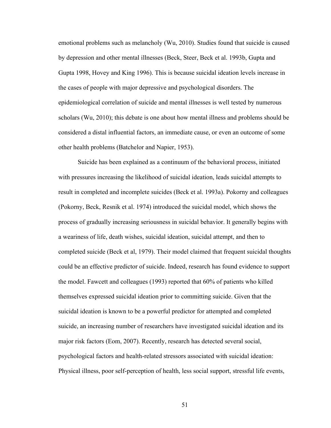emotional problems such as melancholy (Wu, 2010). Studies found that suicide is caused by depression and other mental illnesses (Beck, Steer, Beck et al. 1993b, Gupta and Gupta 1998, Hovey and King 1996). This is because suicidal ideation levels increase in the cases of people with major depressive and psychological disorders. The epidemiological correlation of suicide and mental illnesses is well tested by numerous scholars (Wu, 2010); this debate is one about how mental illness and problems should be considered a distal influential factors, an immediate cause, or even an outcome of some other health problems (Batchelor and Napier, 1953).

Suicide has been explained as a continuum of the behavioral process, initiated with pressures increasing the likelihood of suicidal ideation, leads suicidal attempts to result in completed and incomplete suicides (Beck et al. 1993a). Pokorny and colleagues (Pokorny, Beck, Resnik et al. 1974) introduced the suicidal model, which shows the process of gradually increasing seriousness in suicidal behavior. It generally begins with a weariness of life, death wishes, suicidal ideation, suicidal attempt, and then to completed suicide (Beck et al, 1979). Their model claimed that frequent suicidal thoughts could be an effective predictor of suicide. Indeed, research has found evidence to support the model. Fawcett and colleagues (1993) reported that 60% of patients who killed themselves expressed suicidal ideation prior to committing suicide. Given that the suicidal ideation is known to be a powerful predictor for attempted and completed suicide, an increasing number of researchers have investigated suicidal ideation and its major risk factors (Eom, 2007). Recently, research has detected several social, psychological factors and health-related stressors associated with suicidal ideation: Physical illness, poor self-perception of health, less social support, stressful life events,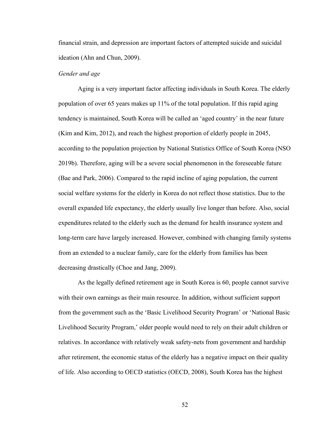financial strain, and depression are important factors of attempted suicide and suicidal ideation (Ahn and Chun, 2009).

#### *Gender and age*

Aging is a very important factor affecting individuals in South Korea. The elderly population of over 65 years makes up 11% of the total population. If this rapid aging tendency is maintained, South Korea will be called an 'aged country' in the near future (Kim and Kim, 2012), and reach the highest proportion of elderly people in 2045, according to the population projection by National Statistics Office of South Korea (NSO 2019b). Therefore, aging will be a severe social phenomenon in the foreseeable future (Bae and Park, 2006). Compared to the rapid incline of aging population, the current social welfare systems for the elderly in Korea do not reflect those statistics. Due to the overall expanded life expectancy, the elderly usually live longer than before. Also, social expenditures related to the elderly such as the demand for health insurance system and long-term care have largely increased. However, combined with changing family systems from an extended to a nuclear family, care for the elderly from families has been decreasing drastically (Choe and Jang, 2009).

As the legally defined retirement age in South Korea is 60, people cannot survive with their own earnings as their main resource. In addition, without sufficient support from the government such as the 'Basic Livelihood Security Program' or 'National Basic Livelihood Security Program,' older people would need to rely on their adult children or relatives. In accordance with relatively weak safety-nets from government and hardship after retirement, the economic status of the elderly has a negative impact on their quality of life. Also according to OECD statistics (OECD, 2008), South Korea has the highest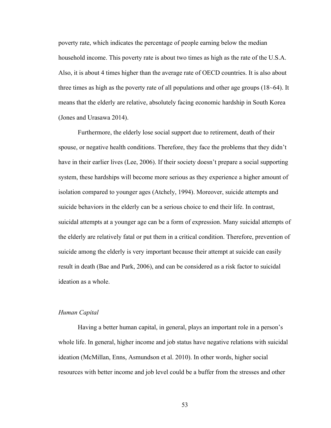poverty rate, which indicates the percentage of people earning below the median household income. This poverty rate is about two times as high as the rate of the U.S.A. Also, it is about 4 times higher than the average rate of OECD countries. It is also about three times as high as the poverty rate of all populations and other age groups (18~64). It means that the elderly are relative, absolutely facing economic hardship in South Korea (Jones and Urasawa 2014).

Furthermore, the elderly lose social support due to retirement, death of their spouse, or negative health conditions. Therefore, they face the problems that they didn't have in their earlier lives (Lee, 2006). If their society doesn't prepare a social supporting system, these hardships will become more serious as they experience a higher amount of isolation compared to younger ages (Atchely, 1994). Moreover, suicide attempts and suicide behaviors in the elderly can be a serious choice to end their life. In contrast, suicidal attempts at a younger age can be a form of expression. Many suicidal attempts of the elderly are relatively fatal or put them in a critical condition. Therefore, prevention of suicide among the elderly is very important because their attempt at suicide can easily result in death (Bae and Park, 2006), and can be considered as a risk factor to suicidal ideation as a whole.

# *Human Capital*

Having a better human capital, in general, plays an important role in a person's whole life. In general, higher income and job status have negative relations with suicidal ideation (McMillan, Enns, Asmundson et al. 2010). In other words, higher social resources with better income and job level could be a buffer from the stresses and other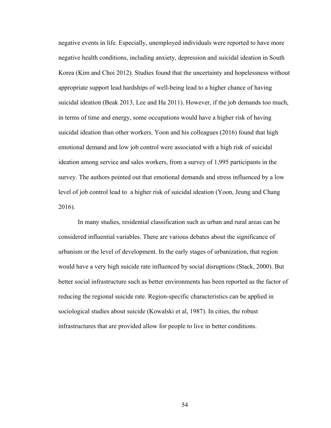negative events in life. Especially, unemployed individuals were reported to have more negative health conditions, including anxiety, depression and suicidal ideation in South Korea (Kim and Choi 2012). Studies found that the uncertainty and hopelessness without appropriate support lead hardships of well-being lead to a higher chance of having suicidal ideation (Beak 2013, Lee and Ha 2011). However, if the job demands too much, in terms of time and energy, some occupations would have a higher risk of having suicidal ideation than other workers. Yoon and his colleagues (2016) found that high emotional demand and low job control were associated with a high risk of suicidal ideation among service and sales workers, from a survey of 1,995 participants in the survey. The authors pointed out that emotional demands and stress influenced by a low level of job control lead to a higher risk of suicidal ideation (Yoon, Jeung and Chang 2016).

In many studies, residential classification such as urban and rural areas can be considered influential variables. There are various debates about the significance of urbanism or the level of development. In the early stages of urbanization, that region would have a very high suicide rate influenced by social disruptions (Stack, 2000). But better social infrastructure such as better environments has been reported as the factor of reducing the regional suicide rate. Region-specific characteristics can be applied in sociological studies about suicide (Kowalski et al, 1987). In cities, the robust infrastructures that are provided allow for people to live in better conditions.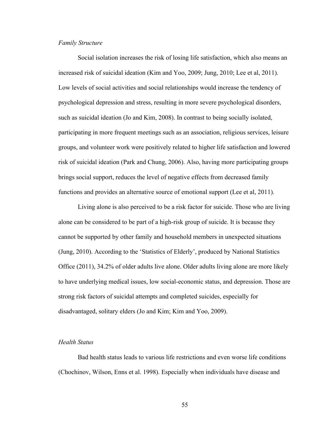#### *Family Structure*

Social isolation increases the risk of losing life satisfaction, which also means an increased risk of suicidal ideation (Kim and Yoo, 2009; Jung, 2010; Lee et al, 2011). Low levels of social activities and social relationships would increase the tendency of psychological depression and stress, resulting in more severe psychological disorders, such as suicidal ideation (Jo and Kim, 2008). In contrast to being socially isolated, participating in more frequent meetings such as an association, religious services, leisure groups, and volunteer work were positively related to higher life satisfaction and lowered risk of suicidal ideation (Park and Chung, 2006). Also, having more participating groups brings social support, reduces the level of negative effects from decreased family functions and provides an alternative source of emotional support (Lee et al, 2011).

Living alone is also perceived to be a risk factor for suicide. Those who are living alone can be considered to be part of a high-risk group of suicide. It is because they cannot be supported by other family and household members in unexpected situations (Jung, 2010). According to the 'Statistics of Elderly', produced by National Statistics Office (2011), 34.2% of older adults live alone. Older adults living alone are more likely to have underlying medical issues, low social-economic status, and depression. Those are strong risk factors of suicidal attempts and completed suicides, especially for disadvantaged, solitary elders (Jo and Kim; Kim and Yoo, 2009).

#### *Health Status*

Bad health status leads to various life restrictions and even worse life conditions (Chochinov, Wilson, Enns et al. 1998). Especially when individuals have disease and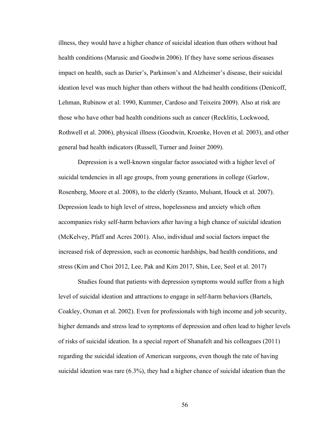illness, they would have a higher chance of suicidal ideation than others without bad health conditions (Marusic and Goodwin 2006). If they have some serious diseases impact on health, such as Darier's, Parkinson's and Alzheimer's disease, their suicidal ideation level was much higher than others without the bad health conditions (Denicoff, Lehman, Rubinow et al. 1990, Kummer, Cardoso and Teixeira 2009). Also at risk are those who have other bad health conditions such as cancer (Recklitis, Lockwood, Rothwell et al. 2006), physical illness (Goodwin, Kroenke, Hoven et al. 2003), and other general bad health indicators (Russell, Turner and Joiner 2009).

Depression is a well-known singular factor associated with a higher level of suicidal tendencies in all age groups, from young generations in college (Garlow, Rosenberg, Moore et al. 2008), to the elderly (Szanto, Mulsant, Houck et al. 2007). Depression leads to high level of stress, hopelessness and anxiety which often accompanies risky self-harm behaviors after having a high chance of suicidal ideation (McKelvey, Pfaff and Acres 2001). Also, individual and social factors impact the increased risk of depression, such as economic hardships, bad health conditions, and stress (Kim and Choi 2012, Lee, Pak and Kim 2017, Shin, Lee, Seol et al. 2017)

Studies found that patients with depression symptoms would suffer from a high level of suicidal ideation and attractions to engage in self-harm behaviors (Bartels, Coakley, Oxman et al. 2002). Even for professionals with high income and job security, higher demands and stress lead to symptoms of depression and often lead to higher levels of risks of suicidal ideation. In a special report of Shanafelt and his colleagues (2011) regarding the suicidal ideation of American surgeons, even though the rate of having suicidal ideation was rare (6.3%), they had a higher chance of suicidal ideation than the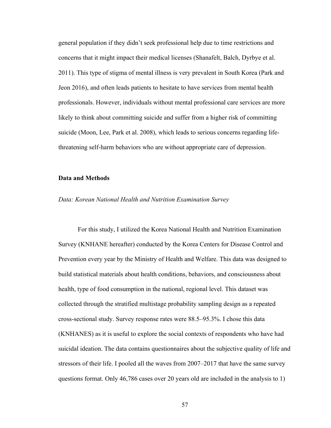general population if they didn't seek professional help due to time restrictions and concerns that it might impact their medical licenses (Shanafelt, Balch, Dyrbye et al. 2011). This type of stigma of mental illness is very prevalent in South Korea (Park and Jeon 2016), and often leads patients to hesitate to have services from mental health professionals. However, individuals without mental professional care services are more likely to think about committing suicide and suffer from a higher risk of committing suicide (Moon, Lee, Park et al. 2008), which leads to serious concerns regarding lifethreatening self-harm behaviors who are without appropriate care of depression.

# **Data and Methods**

#### *Data: Korean National Health and Nutrition Examination Survey*

For this study, I utilized the Korea National Health and Nutrition Examination Survey (KNHANE hereafter) conducted by the Korea Centers for Disease Control and Prevention every year by the Ministry of Health and Welfare. This data was designed to build statistical materials about health conditions, behaviors, and consciousness about health, type of food consumption in the national, regional level. This dataset was collected through the stratified multistage probability sampling design as a repeated cross-sectional study. Survey response rates were 88.5–95.3%. I chose this data (KNHANES) as it is useful to explore the social contexts of respondents who have had suicidal ideation. The data contains questionnaires about the subjective quality of life and stressors of their life. I pooled all the waves from 2007–2017 that have the same survey questions format. Only 46,786 cases over 20 years old are included in the analysis to 1)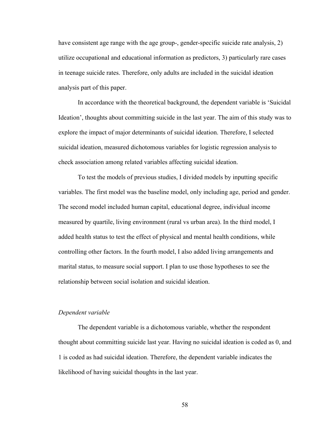have consistent age range with the age group-, gender-specific suicide rate analysis, 2) utilize occupational and educational information as predictors, 3) particularly rare cases in teenage suicide rates. Therefore, only adults are included in the suicidal ideation analysis part of this paper.

In accordance with the theoretical background, the dependent variable is 'Suicidal Ideation', thoughts about committing suicide in the last year. The aim of this study was to explore the impact of major determinants of suicidal ideation. Therefore, I selected suicidal ideation, measured dichotomous variables for logistic regression analysis to check association among related variables affecting suicidal ideation.

To test the models of previous studies, I divided models by inputting specific variables. The first model was the baseline model, only including age, period and gender. The second model included human capital, educational degree, individual income measured by quartile, living environment (rural vs urban area). In the third model, I added health status to test the effect of physical and mental health conditions, while controlling other factors. In the fourth model, I also added living arrangements and marital status, to measure social support. I plan to use those hypotheses to see the relationship between social isolation and suicidal ideation.

# *Dependent variable*

The dependent variable is a dichotomous variable, whether the respondent thought about committing suicide last year. Having no suicidal ideation is coded as 0, and 1 is coded as had suicidal ideation. Therefore, the dependent variable indicates the likelihood of having suicidal thoughts in the last year.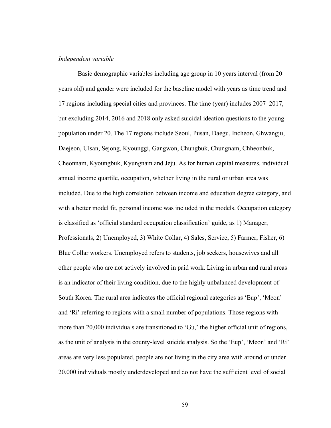#### *Independent variable*

Basic demographic variables including age group in 10 years interval (from 20 years old) and gender were included for the baseline model with years as time trend and 17 regions including special cities and provinces. The time (year) includes 2007–2017, but excluding 2014, 2016 and 2018 only asked suicidal ideation questions to the young population under 20. The 17 regions include Seoul, Pusan, Daegu, Incheon, Ghwangju, Daejeon, Ulsan, Sejong, Kyounggi, Gangwon, Chungbuk, Chungnam, Chheonbuk, Cheonnam, Kyoungbuk, Kyungnam and Jeju. As for human capital measures, individual annual income quartile, occupation, whether living in the rural or urban area was included. Due to the high correlation between income and education degree category, and with a better model fit, personal income was included in the models. Occupation category is classified as 'official standard occupation classification' guide, as 1) Manager, Professionals, 2) Unemployed, 3) White Collar, 4) Sales, Service, 5) Farmer, Fisher, 6) Blue Collar workers. Unemployed refers to students, job seekers, housewives and all other people who are not actively involved in paid work. Living in urban and rural areas is an indicator of their living condition, due to the highly unbalanced development of South Korea. The rural area indicates the official regional categories as 'Eup', 'Meon' and 'Ri' referring to regions with a small number of populations. Those regions with more than 20,000 individuals are transitioned to 'Gu,' the higher official unit of regions, as the unit of analysis in the county-level suicide analysis. So the 'Eup', 'Meon' and 'Ri' areas are very less populated, people are not living in the city area with around or under 20,000 individuals mostly underdeveloped and do not have the sufficient level of social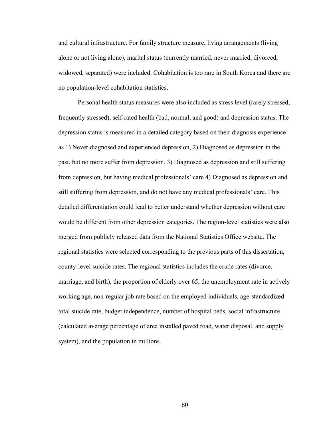and cultural infrastructure. For family structure measure, living arrangements (living alone or not living alone), marital status (currently married, never married, divorced, widowed, separated) were included. Cohabitation is too rare in South Korea and there are no population-level cohabitation statistics.

Personal health status measures were also included as stress level (rarely stressed, frequently stressed), self-rated health (bad, normal, and good) and depression status. The depression status is measured in a detailed category based on their diagnosis experience as 1) Never diagnosed and experienced depression, 2) Diagnosed as depression in the past, but no more suffer from depression, 3) Diagnosed as depression and still suffering from depression, but having medical professionals' care 4) Diagnosed as depression and still suffering from depression, and do not have any medical professionals' care. This detailed differentiation could lead to better understand whether depression without care would be different from other depression categories. The region-level statistics were also merged from publicly released data from the National Statistics Office website. The regional statistics were selected corresponding to the previous parts of this dissertation, county-level suicide rates. The regional statistics includes the crude rates (divorce, marriage, and birth), the proportion of elderly over 65, the unemployment rate in actively working age, non-regular job rate based on the employed individuals, age-standardized total suicide rate, budget independence, number of hospital beds, social infrastructure (calculated average percentage of area installed paved road, water disposal, and supply system), and the population in millions.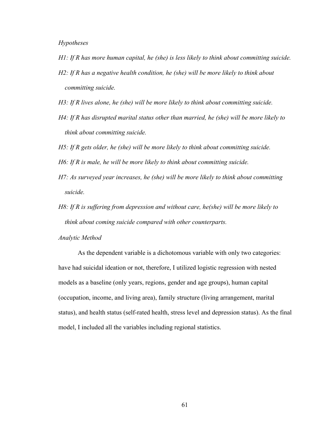# *Hypotheses*

- *H1: If R has more human capital, he (she) is less likely to think about committing suicide.*
- *H2: If R has a negative health condition, he (she) will be more likely to think about committing suicide.*
- *H3: If R lives alone, he (she) will be more likely to think about committing suicide.*
- *H4: If R has disrupted marital status other than married, he (she) will be more likely to think about committing suicide.*
- *H5: If R gets older, he (she) will be more likely to think about committing suicide.*
- *H6: If R is male, he will be more likely to think about committing suicide.*
- *H7: As surveyed year increases, he (she) will be more likely to think about committing suicide.*
- *H8: If R is suffering from depression and without care, he(she) will be more likely to think about coming suicide compared with other counterparts.*

*Analytic Method*

As the dependent variable is a dichotomous variable with only two categories: have had suicidal ideation or not, therefore, I utilized logistic regression with nested models as a baseline (only years, regions, gender and age groups), human capital (occupation, income, and living area), family structure (living arrangement, marital status), and health status (self-rated health, stress level and depression status). As the final model, I included all the variables including regional statistics.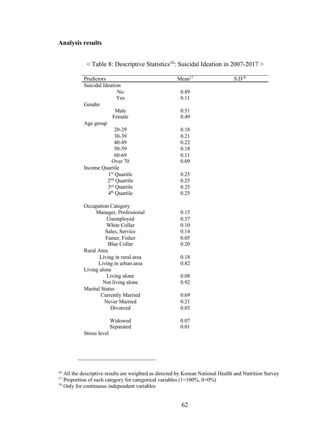| Predictors               | Mean <sup>17</sup> | $S.\overline{D^{18}}$ |
|--------------------------|--------------------|-----------------------|
| Suicidal Ideation        |                    |                       |
| No                       | 0.89               |                       |
| Yes                      | 0.11               |                       |
| Gender                   |                    |                       |
| Male                     | 0.51               |                       |
| Female                   | 0.49               |                       |
| Age group                |                    |                       |
| 20-29                    | 0.18               |                       |
| 30-39                    | 0.21               |                       |
| 40-49                    | 0.22               |                       |
| 50-59                    | 0.18               |                       |
| 60-69                    | 0.11               |                       |
| Over <sub>70</sub>       | 0.09               |                       |
| Income Quartile          |                    |                       |
| 1 <sup>st</sup> Quartile | 0.25               |                       |
| 2 <sup>nd</sup> Quartile | 0.25               |                       |
| 3rd Quartile             | 0.25               |                       |
| 4 <sup>th</sup> Quartile | 0.25               |                       |
| Occupation Category      |                    |                       |
| Manager, Professional    | 0.15               |                       |
| Unemployed               | 0.37               |                       |
| White Collar             | 0.10               |                       |
| Sales, Service           | 0.14               |                       |
| Famer, Fisher            | 0.05               |                       |
| <b>Blue Collar</b>       | 0.20               |                       |
| Rural Area               |                    |                       |
| Living in rural area     | 0.18               |                       |
| Living in urban area     | 0.82               |                       |
| Living alone             |                    |                       |
| Living alone             | 0.08               |                       |
| Not living alone         | 0.92               |                       |
| <b>Marital Status</b>    |                    |                       |
| <b>Currently Married</b> | 0.69               |                       |
| Never Married            | 0.21               |                       |
| Divorced                 | 0.03               |                       |
| Widowed                  | 0.07               |                       |
| Separated                | 0.01               |                       |
| Stress level             |                    |                       |

 $\leq$  Table 8: Descriptive Statistics<sup>16</sup>: Suicidal Ideation in 2007-2017  $>$ 

<sup>&</sup>lt;sup>16</sup> All the descriptive results are weighted as directed by Korean National Health and Nutrition Survey

<sup>&</sup>lt;sup>17</sup> Proportion of each category for categorical variables (1=100%, 0=0%)

<sup>&</sup>lt;sup>18</sup> Only for continuous independent variables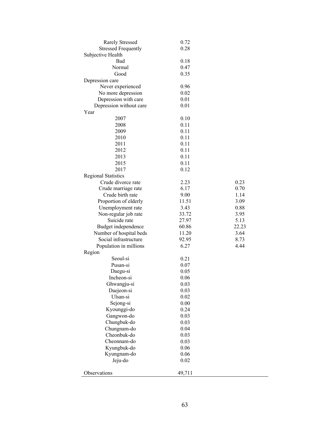| <b>Rarely Stressed</b>     | 0.72   |       |
|----------------------------|--------|-------|
| <b>Stressed Frequently</b> | 0.28   |       |
| Subjective Health          |        |       |
| Bad                        | 0.18   |       |
| Normal                     | 0.47   |       |
| Good                       | 0.35   |       |
| Depression care            |        |       |
| Never experienced          | 0.96   |       |
| No more depression         | 0.02   |       |
| Depression with care       | 0.01   |       |
| Depression without care    | 0.01   |       |
| Year                       |        |       |
| 2007                       | 0.10   |       |
| 2008                       | 0.11   |       |
| 2009                       | 0.11   |       |
| 2010                       | 0.11   |       |
| 2011                       | 0.11   |       |
| 2012                       | 0.11   |       |
| 2013                       | 0.11   |       |
| 2015                       | 0.11   |       |
| 2017                       | 0.12   |       |
| <b>Regional Statistics</b> |        |       |
| Crude divorce rate         | 2.23   | 0.23  |
| Crude marriage rate        | 6.17   | 0.70  |
| Crude birth rate           | 9.00   | 1.14  |
| Proportion of elderly      | 11.51  | 3.09  |
| Unemployment rate          | 3.43   | 0.88  |
| Non-regular job rate       | 33.72  | 3.95  |
| Suicide rate               | 27.97  | 5.13  |
| Budget independence        | 60.86  | 22.23 |
| Number of hospital beds    | 11.20  | 3.64  |
| Social infrastructure      | 92.95  | 8.73  |
| Population in millions     | 6.27   | 4.44  |
| Region                     |        |       |
| Seoul-si                   | 0.21   |       |
| Pusan-si                   | 0.07   |       |
| Daegu-si                   | 0.05   |       |
| Incheon-si                 | 0.06   |       |
| Ghwangju-si                | 0.03   |       |
| Daejeon-si                 | 0.03   |       |
| Ulsan-si                   | 0.02   |       |
| Sejong-si                  | 0.00   |       |
| Kyounggi-do                | 0.24   |       |
| Gangwon-do                 | 0.03   |       |
| Chungbuk-do                | 0.03   |       |
| Chungnam-do                | 0.04   |       |
| Cheonbuk-do                | 0.03   |       |
| Cheonnam-do                | 0.03   |       |
| Kyungbuk-do                | 0.06   |       |
| Kyungnam-do                | 0.06   |       |
| Jeju-do                    | 0.02   |       |
|                            |        |       |
| Observations               | 49,711 |       |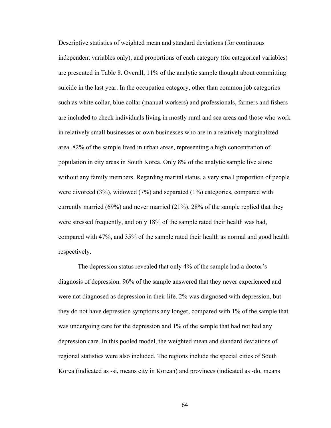Descriptive statistics of weighted mean and standard deviations (for continuous independent variables only), and proportions of each category (for categorical variables) are presented in Table 8. Overall, 11% of the analytic sample thought about committing suicide in the last year. In the occupation category, other than common job categories such as white collar, blue collar (manual workers) and professionals, farmers and fishers are included to check individuals living in mostly rural and sea areas and those who work in relatively small businesses or own businesses who are in a relatively marginalized area. 82% of the sample lived in urban areas, representing a high concentration of population in city areas in South Korea. Only 8% of the analytic sample live alone without any family members. Regarding marital status, a very small proportion of people were divorced (3%), widowed (7%) and separated (1%) categories, compared with currently married (69%) and never married (21%). 28% of the sample replied that they were stressed frequently, and only 18% of the sample rated their health was bad, compared with 47%, and 35% of the sample rated their health as normal and good health respectively.

The depression status revealed that only 4% of the sample had a doctor's diagnosis of depression. 96% of the sample answered that they never experienced and were not diagnosed as depression in their life. 2% was diagnosed with depression, but they do not have depression symptoms any longer, compared with 1% of the sample that was undergoing care for the depression and 1% of the sample that had not had any depression care. In this pooled model, the weighted mean and standard deviations of regional statistics were also included. The regions include the special cities of South Korea (indicated as -si, means city in Korean) and provinces (indicated as -do, means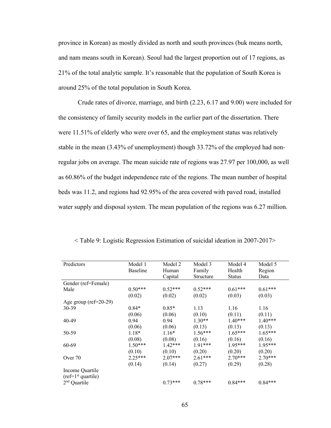province in Korean) as mostly divided as north and south provinces (buk means north, and nam means south in Korean). Seoul had the largest proportion out of 17 regions, as 21% of the total analytic sample. It's reasonable that the population of South Korea is around 25% of the total population in South Korea.

Crude rates of divorce, marriage, and birth (2.23, 6.17 and 9.00) were included for the consistency of family security models in the earlier part of the dissertation. There were 11.51% of elderly who were over 65, and the employment status was relatively stable in the mean (3.43% of unemployment) though 33.72% of the employed had nonregular jobs on average. The mean suicide rate of regions was 27.97 per 100,000, as well as 60.86% of the budget independence rate of the regions. The mean number of hospital beds was 11.2, and regions had 92.95% of the area covered with paved road, installed water supply and disposal system. The mean population of the regions was 6.27 million.

| Predictors                              | Model 1         | Model 2   | Model 3   | Model 4       | Model 5   |
|-----------------------------------------|-----------------|-----------|-----------|---------------|-----------|
|                                         | <b>Baseline</b> | Human     | Family    | Health        | Region    |
|                                         |                 | Capital   | Structure | <b>Status</b> | Data      |
| Gender (ref=Female)                     |                 |           |           |               |           |
| Male                                    | $0.50***$       | $0.52***$ | $0.52***$ | $0.61***$     | $0.61***$ |
|                                         | (0.02)          | (0.02)    | (0.02)    | (0.03)        | (0.03)    |
| Age group ( $ref=20-29$ )               |                 |           |           |               |           |
| 30-39                                   | $0.84*$         | $0.85*$   | 1.13      | 1.16          | 1.16      |
|                                         | (0.06)          | (0.06)    | (0.10)    | (0.11)        | (0.11)    |
| 40-49                                   | 0.94            | 0.94      | $1.30**$  | $1.40***$     | $1.40***$ |
|                                         | (0.06)          | (0.06)    | (0.13)    | (0.13)        | (0.13)    |
| 50-59                                   | 1.18*           | $1.16*$   | $1.56***$ | $1.65***$     | $1.65***$ |
|                                         | (0.08)          | (0.08)    | (0.16)    | (0.16)        | (0.16)    |
| 60-69                                   | $1.50***$       | $1.42***$ | 1.91***   | $1.95***$     | $1.95***$ |
|                                         | (0.10)          | (0.10)    | (0.20)    | (0.20)        | (0.20)    |
| Over 70                                 | 2.25***         | $2.07***$ | $2.61***$ | $2.70***$     | $2.70***$ |
|                                         | (0.14)          | (0.14)    | (0.27)    | (0.29)        | (0.28)    |
| Income Quartile<br>$(ref=1st quartile)$ |                 |           |           |               |           |
| 2 <sup>nd</sup><br>Quartile             |                 | $0.73***$ | $0.78***$ | $0.84***$     | $0.84***$ |

< Table 9: Logistic Regression Estimation of suicidal ideation in 2007-2017>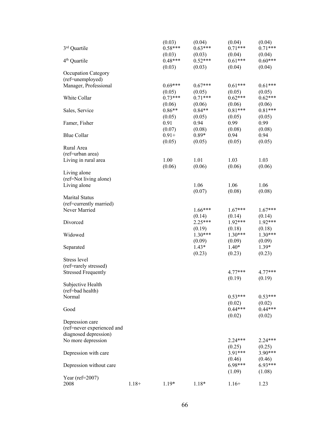|                            |          | (0.03)    | (0.04)    | (0.04)              | (0.04)              |
|----------------------------|----------|-----------|-----------|---------------------|---------------------|
| 3rd Quartile               |          | $0.58***$ | $0.63***$ | $0.71***$           | $0.71***$           |
|                            |          | (0.03)    | (0.03)    | (0.04)              | (0.04)              |
| 4 <sup>th</sup> Quartile   |          | $0.48***$ | $0.52***$ | $0.61***$           | $0.60***$           |
|                            |          | (0.03)    | (0.03)    | (0.04)              | (0.04)              |
| <b>Occupation Category</b> |          |           |           |                     |                     |
| (ref=unemployed)           |          |           |           |                     |                     |
| Manager, Professional      |          | $0.69***$ | $0.67***$ | $0.61***$           | $0.61***$           |
|                            |          | (0.05)    | (0.05)    | (0.05)              | (0.05)              |
| White Collar               |          | $0.73***$ | $0.71***$ | $0.62***$           | $0.62***$           |
|                            |          | (0.06)    | (0.06)    | (0.06)              | (0.06)              |
| Sales, Service             |          | $0.86**$  | $0.84**$  | $0.81***$           | $0.81***$           |
|                            |          | (0.05)    | (0.05)    | (0.05)              | (0.05)              |
| Famer, Fisher              |          | 0.91      | 0.94      | 0.99                | 0.99                |
|                            |          | (0.07)    | (0.08)    | (0.08)              | (0.08)              |
| <b>Blue Collar</b>         |          | $0.91 +$  | $0.89*$   | 0.94                | 0.94                |
|                            |          | (0.05)    | (0.05)    | (0.05)              | (0.05)              |
|                            |          |           |           |                     |                     |
| Rural Area                 |          |           |           |                     |                     |
| (ref=urban area)           |          |           |           |                     |                     |
| Living in rural area       |          | 1.00      | 1.01      | 1.03                | 1.03                |
|                            |          | (0.06)    | (0.06)    | (0.06)              | (0.06)              |
| Living alone               |          |           |           |                     |                     |
| (ref=Not living alone)     |          |           |           |                     |                     |
| Living alone               |          |           | 1.06      | 1.06                | 1.06                |
|                            |          |           | (0.07)    | (0.08)              | (0.08)              |
| Marital Status             |          |           |           |                     |                     |
| (ref=currently married)    |          |           |           |                     |                     |
| Never Married              |          |           | 1.66***   | $1.67***$           | $1.67***$           |
|                            |          |           | (0.14)    | (0.14)              | (0.14)              |
| Divorced                   |          |           | $2.25***$ | 1.92***             | 1.92***             |
|                            |          |           | (0.19)    | (0.18)              | (0.18)              |
| Widowed                    |          |           | $1.30***$ | $1.30***$           | $1.30***$           |
|                            |          |           | (0.09)    | (0.09)              | (0.09)              |
| Separated                  |          |           | $1.43*$   | $1.40*$             | $1.39*$             |
|                            |          |           | (0.23)    | (0.23)              | (0.23)              |
| Stress level               |          |           |           |                     |                     |
| (ref=rarely stressed)      |          |           |           |                     |                     |
| <b>Stressed Frequently</b> |          |           |           | $4.77***$           | $4.77***$           |
|                            |          |           |           | (0.19)              | (0.19)              |
| Subjective Health          |          |           |           |                     |                     |
| (ref=bad health)           |          |           |           |                     |                     |
| Normal                     |          |           |           | $0.53***$           | $0.53***$           |
|                            |          |           |           |                     |                     |
|                            |          |           |           | (0.02)<br>$0.44***$ | (0.02)<br>$0.44***$ |
| Good                       |          |           |           |                     |                     |
|                            |          |           |           | (0.02)              | (0.02)              |
| Depression care            |          |           |           |                     |                     |
| (ref=never experienced and |          |           |           |                     |                     |
| diagnosed depression)      |          |           |           |                     |                     |
| No more depression         |          |           |           | $2.24***$           | 2.24***             |
|                            |          |           |           | (0.25)              | (0.25)              |
| Depression with care       |          |           |           | $3.91***$           | 3.90***             |
|                            |          |           |           | (0.46)              | (0.46)              |
| Depression without care    |          |           |           | 6.98***             | 6.93***             |
|                            |          |           |           | (1.09)              | (1.08)              |
| Year (ref= $2007$ )        |          |           |           |                     |                     |
| 2008                       | $1.18 +$ | $1.19*$   | $1.18*$   | $1.16+$             | 1.23                |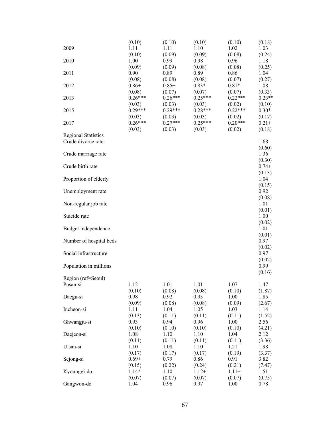| 2009<br>2010<br>2011<br>2012<br>2013<br>2015<br>2017 | (0.10)<br>1.11<br>(0.10)<br>1.00<br>(0.09)<br>0.90<br>(0.08)<br>$0.86 +$<br>(0.08)<br>$0.26***$<br>(0.03)<br>$0.29***$<br>(0.03)<br>$0.26***$<br>(0.03) | (0.10)<br>1.11<br>(0.09)<br>0.99<br>(0.09)<br>0.89<br>(0.08)<br>$0.85+$<br>(0.07)<br>$0.26***$<br>(0.03)<br>$0.29***$<br>(0.03)<br>$0.27***$<br>(0.03) | (0.10)<br>1.10<br>(0.09)<br>0.98<br>(0.08)<br>0.89<br>(0.08)<br>$0.83*$<br>(0.07)<br>$0.25***$<br>(0.03)<br>$0.28***$<br>(0.03)<br>$0.25***$<br>(0.03) | (0.10)<br>1.02<br>(0.08)<br>0.96<br>(0.08)<br>$0.86 +$<br>(0.07)<br>$0.81*$<br>(0.07)<br>$0.22***$<br>(0.02)<br>$0.22***$<br>(0.02)<br>$0.20***$<br>(0.02) | (0.18)<br>1.03<br>(0.24)<br>1.18<br>(0.25)<br>1.04<br>(0.27)<br>1.08<br>(0.33)<br>$0.23**$<br>(0.10)<br>$0.30*$<br>(0.17)<br>$0.21 +$<br>(0.18) |
|------------------------------------------------------|---------------------------------------------------------------------------------------------------------------------------------------------------------|--------------------------------------------------------------------------------------------------------------------------------------------------------|--------------------------------------------------------------------------------------------------------------------------------------------------------|------------------------------------------------------------------------------------------------------------------------------------------------------------|-------------------------------------------------------------------------------------------------------------------------------------------------|
| <b>Regional Statistics</b><br>Crude divorce rate     |                                                                                                                                                         |                                                                                                                                                        |                                                                                                                                                        |                                                                                                                                                            | 1.68<br>(0.60)                                                                                                                                  |
| Crude marriage rate                                  |                                                                                                                                                         |                                                                                                                                                        |                                                                                                                                                        |                                                                                                                                                            | 1.36<br>(0.30)                                                                                                                                  |
| Crude birth rate                                     |                                                                                                                                                         |                                                                                                                                                        |                                                                                                                                                        |                                                                                                                                                            | $0.74+$<br>(0.13)                                                                                                                               |
| Proportion of elderly                                |                                                                                                                                                         |                                                                                                                                                        |                                                                                                                                                        |                                                                                                                                                            | 1.04                                                                                                                                            |
| Unemployment rate                                    |                                                                                                                                                         |                                                                                                                                                        |                                                                                                                                                        |                                                                                                                                                            | (0.15)<br>0.92                                                                                                                                  |
| Non-regular job rate                                 |                                                                                                                                                         |                                                                                                                                                        |                                                                                                                                                        |                                                                                                                                                            | (0.08)<br>1.01                                                                                                                                  |
| Suicide rate                                         |                                                                                                                                                         |                                                                                                                                                        |                                                                                                                                                        |                                                                                                                                                            | (0.01)<br>1.00                                                                                                                                  |
| Budget independence                                  |                                                                                                                                                         |                                                                                                                                                        |                                                                                                                                                        |                                                                                                                                                            | (0.02)<br>1.01<br>(0.01)                                                                                                                        |
| Number of hospital beds                              |                                                                                                                                                         |                                                                                                                                                        |                                                                                                                                                        |                                                                                                                                                            | 0.97<br>(0.02)                                                                                                                                  |
| Social infrastructure                                |                                                                                                                                                         |                                                                                                                                                        |                                                                                                                                                        |                                                                                                                                                            | 0.97<br>(0.02)                                                                                                                                  |
| Population in millions                               |                                                                                                                                                         |                                                                                                                                                        |                                                                                                                                                        |                                                                                                                                                            | 0.99<br>(0.16)                                                                                                                                  |
| Region (ref=Seoul)                                   |                                                                                                                                                         |                                                                                                                                                        |                                                                                                                                                        |                                                                                                                                                            |                                                                                                                                                 |
| Pusan-si                                             | 1.12<br>(0.10)                                                                                                                                          | 1.01<br>(0.08)                                                                                                                                         | 1.01<br>(0.08)                                                                                                                                         | 1.07<br>(0.10)                                                                                                                                             | 1.47<br>(1.87)                                                                                                                                  |
| Daegu-si                                             | 0.98                                                                                                                                                    | 0.92                                                                                                                                                   | 0.93                                                                                                                                                   | 1.00                                                                                                                                                       | 1.85                                                                                                                                            |
| Incheon-si                                           | (0.09)<br>1.11                                                                                                                                          | (0.08)<br>1.04                                                                                                                                         | (0.08)<br>1.05                                                                                                                                         | (0.09)<br>1.03                                                                                                                                             | (2.67)<br>1.14                                                                                                                                  |
| Ghwangju-si                                          | (0.13)<br>0.93                                                                                                                                          | (0.11)<br>0.94                                                                                                                                         | (0.11)<br>0.96                                                                                                                                         | (0.11)<br>1.00                                                                                                                                             | (1.52)<br>2.56                                                                                                                                  |
| Daejeon-si                                           | (0.10)<br>1.08                                                                                                                                          | (0.10)<br>1.10                                                                                                                                         | (0.10)<br>1.10                                                                                                                                         | (0.10)<br>1.04                                                                                                                                             | (4.21)<br>2.12                                                                                                                                  |
| Ulsan-si                                             | (0.11)<br>1.10                                                                                                                                          | (0.11)<br>1.08                                                                                                                                         | (0.11)<br>1.10                                                                                                                                         | (0.11)<br>1.21                                                                                                                                             | (3.36)<br>1.98                                                                                                                                  |
| Sejong-si                                            | (0.17)<br>$0.69 +$                                                                                                                                      | (0.17)<br>0.79                                                                                                                                         | (0.17)<br>0.86                                                                                                                                         | (0.19)<br>0.91                                                                                                                                             | (3.37)<br>3.82                                                                                                                                  |
| Kyounggi-do                                          | (0.15)<br>$1.14*$<br>(0.07)                                                                                                                             | (0.22)<br>1.10<br>(0.07)                                                                                                                               | (0.24)<br>$1.12+$<br>(0.07)                                                                                                                            | (0.21)<br>$1.11+$<br>(0.07)                                                                                                                                | (7.47)<br>1.51<br>(0.75)                                                                                                                        |
| Gangwon-do                                           | 1.04                                                                                                                                                    | 0.96                                                                                                                                                   | 0.97                                                                                                                                                   | 1.00                                                                                                                                                       | 0.78                                                                                                                                            |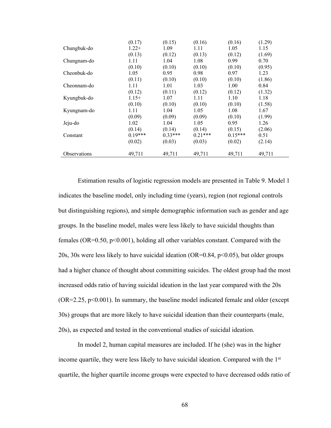|                     | (0.17)    | (0.15)    | (0.16)    | (0.16)    | (1.29) |
|---------------------|-----------|-----------|-----------|-----------|--------|
| Chungbuk-do         | $1.22+$   | 1.09      | 1.11      | 1.05      | 1.15   |
|                     | (0.13)    | (0.12)    | (0.13)    | (0.12)    | (1.69) |
| Chungnam-do         | 1.11      | 1.04      | 1.08      | 0.99      | 0.70   |
|                     | (0.10)    | (0.10)    | (0.10)    | (0.10)    | (0.95) |
| Cheonbuk-do         | 1.05      | 0.95      | 0.98      | 0.97      | 1.23   |
|                     | (0.11)    | (0.10)    | (0.10)    | (0.10)    | (1.86) |
| Cheonnam-do         | 1.11      | 1.01      | 1.03      | 1.00      | 0.84   |
|                     | (0.12)    | (0.11)    | (0.12)    | (0.12)    | (1.32) |
| Kyungbuk-do         | $1.15+$   | 1.07      | 1.11      | 1.10      | 1.18   |
|                     | (0.10)    | (0.10)    | (0.10)    | (0.10)    | (1.58) |
| Kyungnam-do         | 1.11      | 1.04      | 1.05      | 1.08      | 1.67   |
|                     | (0.09)    | (0.09)    | (0.09)    | (0.10)    | (1.99) |
| Jeju-do             | 1.02      | 1.04      | 1.05      | 0.95      | 1.26   |
|                     | (0.14)    | (0.14)    | (0.14)    | (0.15)    | (2.06) |
| Constant            | $0.19***$ | $0.33***$ | $0.21***$ | $0.15***$ | 0.51   |
|                     | (0.02)    | (0.03)    | (0.03)    | (0.02)    | (2.14) |
| <b>Observations</b> | 49,711    | 49,711    | 49,711    | 49,711    | 49,711 |

Estimation results of logistic regression models are presented in Table 9. Model 1 indicates the baseline model, only including time (years), region (not regional controls but distinguishing regions), and simple demographic information such as gender and age groups. In the baseline model, males were less likely to have suicidal thoughts than females ( $OR=0.50$ ,  $p<0.001$ ), holding all other variables constant. Compared with the 20s, 30s were less likely to have suicidal ideation (OR=0.84,  $p$ <0.05), but older groups had a higher chance of thought about committing suicides. The oldest group had the most increased odds ratio of having suicidal ideation in the last year compared with the 20s  $(OR = 2.25, p < 0.001)$ . In summary, the baseline model indicated female and older (except 30s) groups that are more likely to have suicidal ideation than their counterparts (male, 20s), as expected and tested in the conventional studies of suicidal ideation.

In model 2, human capital measures are included. If he (she) was in the higher income quartile, they were less likely to have suicidal ideation. Compared with the 1<sup>st</sup> quartile, the higher quartile income groups were expected to have decreased odds ratio of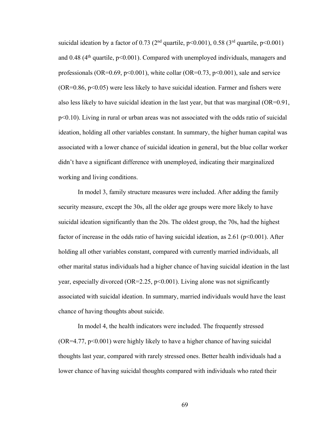suicidal ideation by a factor of 0.73 ( $2<sup>nd</sup>$  quartile, p<0.001), 0.58 ( $3<sup>rd</sup>$  quartile, p<0.001) and 0.48 ( $4<sup>th</sup>$  quartile,  $p<0.001$ ). Compared with unemployed individuals, managers and professionals (OR=0.69,  $p<0.001$ ), white collar (OR=0.73,  $p<0.001$ ), sale and service  $(OR=0.86, p<0.05)$  were less likely to have suicidal ideation. Farmer and fishers were also less likely to have suicidal ideation in the last year, but that was marginal (OR=0.91, p<0.10). Living in rural or urban areas was not associated with the odds ratio of suicidal ideation, holding all other variables constant. In summary, the higher human capital was associated with a lower chance of suicidal ideation in general, but the blue collar worker didn't have a significant difference with unemployed, indicating their marginalized working and living conditions.

In model 3, family structure measures were included. After adding the family security measure, except the 30s, all the older age groups were more likely to have suicidal ideation significantly than the 20s. The oldest group, the 70s, had the highest factor of increase in the odds ratio of having suicidal ideation, as  $2.61$  (p $\leq 0.001$ ). After holding all other variables constant, compared with currently married individuals, all other marital status individuals had a higher chance of having suicidal ideation in the last year, especially divorced (OR=2.25,  $p<0.001$ ). Living alone was not significantly associated with suicidal ideation. In summary, married individuals would have the least chance of having thoughts about suicide.

In model 4, the health indicators were included. The frequently stressed  $(OR=4.77, p<0.001)$  were highly likely to have a higher chance of having suicidal thoughts last year, compared with rarely stressed ones. Better health individuals had a lower chance of having suicidal thoughts compared with individuals who rated their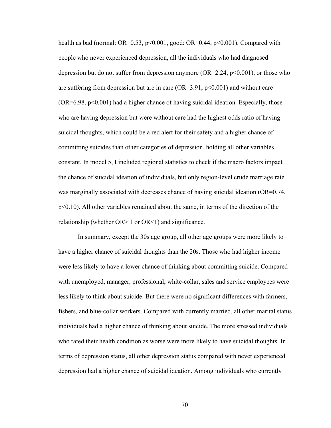health as bad (normal:  $OR=0.53$ ,  $p<0.001$ , good:  $OR=0.44$ ,  $p<0.001$ ). Compared with people who never experienced depression, all the individuals who had diagnosed depression but do not suffer from depression anymore ( $OR=2.24$ ,  $p<0.001$ ), or those who are suffering from depression but are in care  $(OR=3.91, p<0.001)$  and without care  $(OR=6.98, p<0.001)$  had a higher chance of having suicidal ideation. Especially, those who are having depression but were without care had the highest odds ratio of having suicidal thoughts, which could be a red alert for their safety and a higher chance of committing suicides than other categories of depression, holding all other variables constant. In model 5, I included regional statistics to check if the macro factors impact the chance of suicidal ideation of individuals, but only region-level crude marriage rate was marginally associated with decreases chance of having suicidal ideation (OR=0.74, p<0.10). All other variables remained about the same, in terms of the direction of the relationship (whether  $OR>1$  or  $OR<1$ ) and significance.

In summary, except the 30s age group, all other age groups were more likely to have a higher chance of suicidal thoughts than the 20s. Those who had higher income were less likely to have a lower chance of thinking about committing suicide. Compared with unemployed, manager, professional, white-collar, sales and service employees were less likely to think about suicide. But there were no significant differences with farmers, fishers, and blue-collar workers. Compared with currently married, all other marital status individuals had a higher chance of thinking about suicide. The more stressed individuals who rated their health condition as worse were more likely to have suicidal thoughts. In terms of depression status, all other depression status compared with never experienced depression had a higher chance of suicidal ideation. Among individuals who currently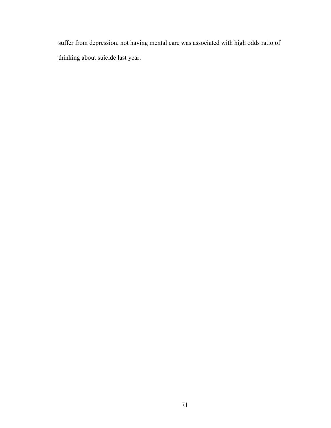suffer from depression, not having mental care was associated with high odds ratio of thinking about suicide last year.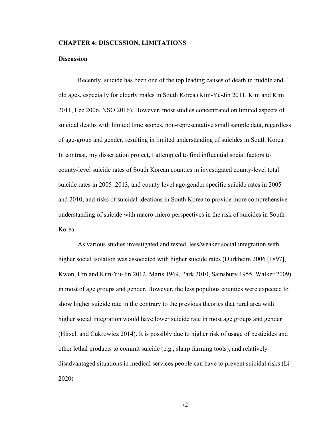## **CHAPTER 4: DISCUSSION, LIMITATIONS**

## **Discussion**

Recently, suicide has been one of the top leading causes of death in middle and old ages, especially for elderly males in South Korea (Kim-Yu-Jin 2011, Kim and Kim 2011, Lee 2006, NSO 2016). However, most studies concentrated on limited aspects of suicidal deaths with limited time scopes, non-representative small sample data, regardless of age-group and gender, resulting in limited understanding of suicides in South Korea. In contrast, my dissertation project, I attempted to find influential social factors to county-level suicide rates of South Korean counties in investigated county-level total suicide rates in 2005–2013, and county level age-gender specific suicide rates in 2005 and 2010, and risks of suicidal ideations in South Korea to provide more comprehensive understanding of suicide with macro-micro perspectives in the risk of suicides in South Korea.

As various studies investigated and tested, less/weaker social integration with higher social isolation was associated with higher suicide rates (Durkheim 2006 [1897], Kwon, Um and Kim-Yu-Jin 2012, Maris 1969, Park 2010, Sainsbury 1955, Walker 2009) in most of age groups and gender. However, the less populous counties were expected to show higher suicide rate in the contrary to the previous theories that rural area with higher social integration would have lower suicide rate in most age groups and gender (Hirsch and Cukrowicz 2014). It is possibly due to higher risk of usage of pesticides and other lethal products to commit suicide (e.g., sharp farming tools), and relatively disadvantaged situations in medical services people can have to prevent suicidal risks (Li 2020)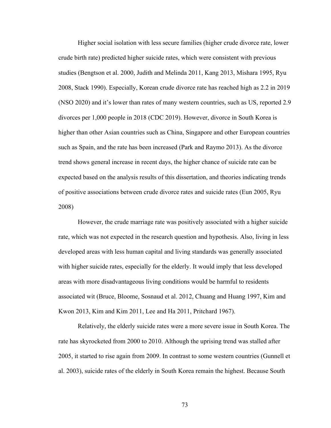Higher social isolation with less secure families (higher crude divorce rate, lower crude birth rate) predicted higher suicide rates, which were consistent with previous studies (Bengtson et al. 2000, Judith and Melinda 2011, Kang 2013, Mishara 1995, Ryu 2008, Stack 1990). Especially, Korean crude divorce rate has reached high as 2.2 in 2019 (NSO 2020) and it's lower than rates of many western countries, such as US, reported 2.9 divorces per 1,000 people in 2018 (CDC 2019). However, divorce in South Korea is higher than other Asian countries such as China, Singapore and other European countries such as Spain, and the rate has been increased (Park and Raymo 2013). As the divorce trend shows general increase in recent days, the higher chance of suicide rate can be expected based on the analysis results of this dissertation, and theories indicating trends of positive associations between crude divorce rates and suicide rates (Eun 2005, Ryu 2008)

However, the crude marriage rate was positively associated with a higher suicide rate, which was not expected in the research question and hypothesis. Also, living in less developed areas with less human capital and living standards was generally associated with higher suicide rates, especially for the elderly. It would imply that less developed areas with more disadvantageous living conditions would be harmful to residents associated wit (Bruce, Bloome, Sosnaud et al. 2012, Chuang and Huang 1997, Kim and Kwon 2013, Kim and Kim 2011, Lee and Ha 2011, Pritchard 1967).

Relatively, the elderly suicide rates were a more severe issue in South Korea. The rate has skyrocketed from 2000 to 2010. Although the uprising trend was stalled after 2005, it started to rise again from 2009. In contrast to some western countries (Gunnell et al. 2003), suicide rates of the elderly in South Korea remain the highest. Because South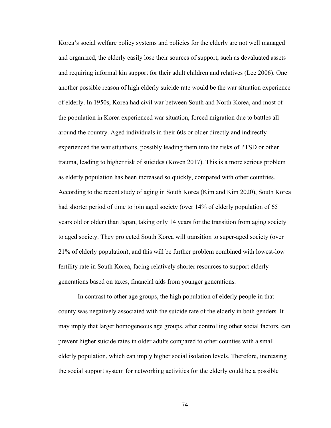Korea's social welfare policy systems and policies for the elderly are not well managed and organized, the elderly easily lose their sources of support, such as devaluated assets and requiring informal kin support for their adult children and relatives (Lee 2006). One another possible reason of high elderly suicide rate would be the war situation experience of elderly. In 1950s, Korea had civil war between South and North Korea, and most of the population in Korea experienced war situation, forced migration due to battles all around the country. Aged individuals in their 60s or older directly and indirectly experienced the war situations, possibly leading them into the risks of PTSD or other trauma, leading to higher risk of suicides (Koven 2017). This is a more serious problem as elderly population has been increased so quickly, compared with other countries. According to the recent study of aging in South Korea (Kim and Kim 2020), South Korea had shorter period of time to join aged society (over 14% of elderly population of 65 years old or older) than Japan, taking only 14 years for the transition from aging society to aged society. They projected South Korea will transition to super-aged society (over 21% of elderly population), and this will be further problem combined with lowest-low fertility rate in South Korea, facing relatively shorter resources to support elderly generations based on taxes, financial aids from younger generations.

In contrast to other age groups, the high population of elderly people in that county was negatively associated with the suicide rate of the elderly in both genders. It may imply that larger homogeneous age groups, after controlling other social factors, can prevent higher suicide rates in older adults compared to other counties with a small elderly population, which can imply higher social isolation levels. Therefore, increasing the social support system for networking activities for the elderly could be a possible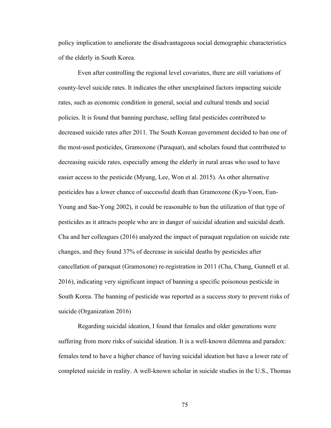policy implication to ameliorate the disadvantageous social demographic characteristics of the elderly in South Korea.

Even after controlling the regional level covariates, there are still variations of county-level suicide rates. It indicates the other unexplained factors impacting suicide rates, such as economic condition in general, social and cultural trends and social policies. It is found that banning purchase, selling fatal pesticides contributed to decreased suicide rates after 2011. The South Korean government decided to ban one of the most-used pesticides, Gramoxone (Paraquat), and scholars found that contributed to decreasing suicide rates, especially among the elderly in rural areas who used to have easier access to the pesticide (Myung, Lee, Won et al. 2015). As other alternative pesticides has a lower chance of successful death than Gramoxone (Kyu-Yoon, Eun-Young and Sae-Yong 2002), it could be reasonable to ban the utilization of that type of pesticides as it attracts people who are in danger of suicidal ideation and suicidal death. Cha and her colleagues (2016) analyzed the impact of paraquat regulation on suicide rate changes, and they found 37% of decrease in suicidal deaths by pesticides after cancellation of paraquat (Gramoxone) re-registration in 2011 (Cha, Chang, Gunnell et al. 2016), indicating very significant impact of banning a specific poisonous pesticide in South Korea. The banning of pesticide was reported as a success story to prevent risks of suicide (Organization 2016)

Regarding suicidal ideation, I found that females and older generations were suffering from more risks of suicidal ideation. It is a well-known dilemma and paradox: females tend to have a higher chance of having suicidal ideation but have a lower rate of completed suicide in reality. A well-known scholar in suicide studies in the U.S., Thomas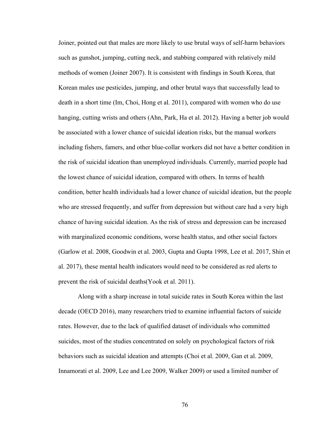Joiner, pointed out that males are more likely to use brutal ways of self-harm behaviors such as gunshot, jumping, cutting neck, and stabbing compared with relatively mild methods of women (Joiner 2007). It is consistent with findings in South Korea, that Korean males use pesticides, jumping, and other brutal ways that successfully lead to death in a short time (Im, Choi, Hong et al. 2011), compared with women who do use hanging, cutting wrists and others (Ahn, Park, Ha et al. 2012). Having a better job would be associated with a lower chance of suicidal ideation risks, but the manual workers including fishers, famers, and other blue-collar workers did not have a better condition in the risk of suicidal ideation than unemployed individuals. Currently, married people had the lowest chance of suicidal ideation, compared with others. In terms of health condition, better health individuals had a lower chance of suicidal ideation, but the people who are stressed frequently, and suffer from depression but without care had a very high chance of having suicidal ideation. As the risk of stress and depression can be increased with marginalized economic conditions, worse health status, and other social factors (Garlow et al. 2008, Goodwin et al. 2003, Gupta and Gupta 1998, Lee et al. 2017, Shin et al. 2017), these mental health indicators would need to be considered as red alerts to prevent the risk of suicidal deaths(Yook et al. 2011).

Along with a sharp increase in total suicide rates in South Korea within the last decade (OECD 2016), many researchers tried to examine influential factors of suicide rates. However, due to the lack of qualified dataset of individuals who committed suicides, most of the studies concentrated on solely on psychological factors of risk behaviors such as suicidal ideation and attempts (Choi et al. 2009, Gan et al. 2009, Innamorati et al. 2009, Lee and Lee 2009, Walker 2009) or used a limited number of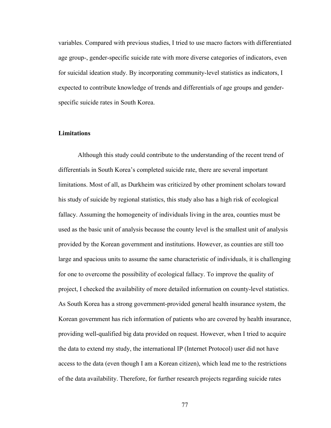variables. Compared with previous studies, I tried to use macro factors with differentiated age group-, gender-specific suicide rate with more diverse categories of indicators, even for suicidal ideation study. By incorporating community-level statistics as indicators, I expected to contribute knowledge of trends and differentials of age groups and genderspecific suicide rates in South Korea.

## **Limitations**

Although this study could contribute to the understanding of the recent trend of differentials in South Korea's completed suicide rate, there are several important limitations. Most of all, as Durkheim was criticized by other prominent scholars toward his study of suicide by regional statistics, this study also has a high risk of ecological fallacy. Assuming the homogeneity of individuals living in the area, counties must be used as the basic unit of analysis because the county level is the smallest unit of analysis provided by the Korean government and institutions. However, as counties are still too large and spacious units to assume the same characteristic of individuals, it is challenging for one to overcome the possibility of ecological fallacy. To improve the quality of project, I checked the availability of more detailed information on county-level statistics. As South Korea has a strong government-provided general health insurance system, the Korean government has rich information of patients who are covered by health insurance, providing well-qualified big data provided on request. However, when I tried to acquire the data to extend my study, the international IP (Internet Protocol) user did not have access to the data (even though I am a Korean citizen), which lead me to the restrictions of the data availability. Therefore, for further research projects regarding suicide rates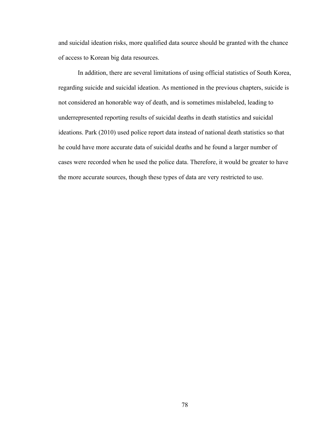and suicidal ideation risks, more qualified data source should be granted with the chance of access to Korean big data resources.

In addition, there are several limitations of using official statistics of South Korea, regarding suicide and suicidal ideation. As mentioned in the previous chapters, suicide is not considered an honorable way of death, and is sometimes mislabeled, leading to underrepresented reporting results of suicidal deaths in death statistics and suicidal ideations. Park (2010) used police report data instead of national death statistics so that he could have more accurate data of suicidal deaths and he found a larger number of cases were recorded when he used the police data. Therefore, it would be greater to have the more accurate sources, though these types of data are very restricted to use.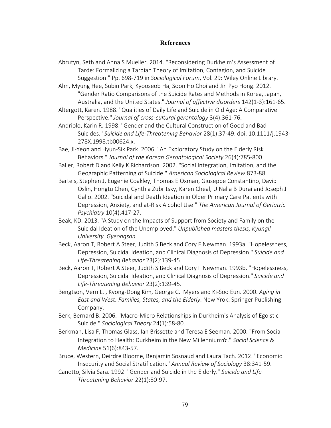## **References**

Abrutyn, Seth and Anna S Mueller. 2014. "Reconsidering Durkheim's Assessment of Tarde: Formalizing a Tardian Theory of Imitation, Contagion, and Suicide Suggestion." Pp. 698-719 in *Sociological Forum*, Vol. 29: Wiley Online Library.

Ahn, Myung Hee, Subin Park, Kyooseob Ha, Soon Ho Choi and Jin Pyo Hong. 2012. "Gender Ratio Comparisons of the Suicide Rates and Methods in Korea, Japan, Australia, and the United States." *Journal of affective disorders* 142(1-3):161-65.

Altergott, Karen. 1988. "Qualities of Daily Life and Suicide in Old Age: A Comparative Perspective." *Journal of cross-cultural gerontology* 3(4):361-76.

Andriolo, Karin R. 1998. "Gender and the Cultural Construction of Good and Bad Suicides." *Suicide and Life-Threatening Behavior* 28(1):37-49. doi: 10.1111/j.1943- 278X.1998.tb00624.x.

Bae, Ji-Yeon and Hyun-Sik Park. 2006. "An Exploratory Study on the Elderly Risk Behaviors." *Journal of the Korean Gerontological Society* 26(4):785-800.

- Baller, Robert D and Kelly K Richardson. 2002. "Social Integration, Imitation, and the Geographic Patterning of Suicide." *American Sociological Review*:873-88.
- Bartels, Stephen J, Eugenie Coakley, Thomas E Oxman, Giuseppe Constantino, David Oslin, Hongtu Chen, Cynthia Zubritsky, Karen Cheal, U Nalla B Durai and Joseph J Gallo. 2002. "Suicidal and Death Ideation in Older Primary Care Patients with Depression, Anxiety, and at-Risk Alcohol Use." *The American Journal of Geriatric Psychiatry* 10(4):417-27.
- Beak, KD. 2013. "A Study on the Impacts of Support from Society and Family on the Suicidal Ideation of the Unemployed." *Unpublished masters thesis, Kyungil University. Gyeongsan*.
- Beck, Aaron T, Robert A Steer, Judith S Beck and Cory F Newman. 1993a. "Hopelessness, Depression, Suicidal Ideation, and Clinical Diagnosis of Depression." *Suicide and Life-Threatening Behavior* 23(2):139-45.
- Beck, Aaron T, Robert A Steer, Judith S Beck and Cory F Newman. 1993b. "Hopelessness, Depression, Suicidal Ideation, and Clinical Diagnosis of Depression." *Suicide and Life-Threatening Behavior* 23(2):139-45.
- Bengtson, Vern L. , Kyong-Dong Kim, George C. Myers and Ki-Soo Eun. 2000. *Aging in East and West: Families, States, and the Elderly*. New Yrok: Springer Publishing Company.
- Berk, Bernard B. 2006. "Macro-Micro Relationships in Durkheim's Analysis of Egoistic Suicide." *Sociological Theory* 24(1):58-80.
- Berkman, Lisa F, Thomas Glass, Ian Brissette and Teresa E Seeman. 2000. "From Social Integration to Health: Durkheim in the New Millennium☆." *Social Science & Medicine* 51(6):843-57.
- Bruce, Western, Deirdre Bloome, Benjamin Sosnaud and Laura Tach. 2012. "Economic Insecurity and Social Stratification." *Annual Review of Sociology* 38:341-59.
- Canetto, Silvia Sara. 1992. "Gender and Suicide in the Elderly." *Suicide and Life-Threatening Behavior* 22(1):80-97.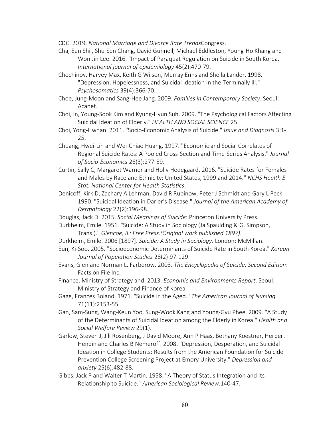CDC. 2019. *National Marriage and Divorce Rate Trends*Congress.

- Cha, Eun Shil, Shu-Sen Chang, David Gunnell, Michael Eddleston, Young-Ho Khang and Won Jin Lee. 2016. "Impact of Paraquat Regulation on Suicide in South Korea." *International journal of epidemiology* 45(2):470-79.
- Chochinov, Harvey Max, Keith G Wilson, Murray Enns and Sheila Lander. 1998. "Depression, Hopelessness, and Suicidal Ideation in the Terminally Ill." *Psychosomatics* 39(4):366-70.
- Choe, Jung-Moon and Sang-Hee Jang. 2009. *Families in Contemporary Society*. Seoul: Acanet.
- Choi, In, Young-Sook Kim and Kyung-Hyun Suh. 2009. "The Psychological Factors Affecting Suicidal Ideation of Elderly." *HEALTH AND SOCIAL SCIENCE* 25.
- Choi, Yong-Hwhan. 2011. "Socio-Economic Analysis of Suicide." *Issue and Diagnosis* 3:1- 25.
- Chuang, Hwei-Lin and Wei-Chiao Huang. 1997. "Economic and Social Correlates of Regional Suicide Rates: A Pooled Cross-Section and Time-Series Analysis." *Journal of Socio-Economics* 26(3):277-89.
- Curtin, Sally C, Margaret Warner and Holly Hedegaard. 2016. "Suicide Rates for Females and Males by Race and Ethnicity: United States, 1999 and 2014." *NCHS Health E-Stat. National Center for Health Statistics*.
- Denicoff, Kirk D, Zachary A Lehman, David R Rubinow, Peter J Schmidt and Gary L Peck. 1990. "Suicidal Ideation in Darier's Disease." *Journal of the American Academy of Dermatology* 22(2):196-98.
- Douglas, Jack D. 2015. *Social Meanings of Suicide*: Princeton University Press.
- Durkheim, Emile. 1951. "Suicide: A Study in Sociology (Ja Spaulding & G. Simpson, Trans.)." *Glencoe, IL: Free Press.(Original work published 1897)*.
- Durkheim, Emile. 2006 [1897]. *Suicide: A Study in Sociology*. London: McMillan.
- Eun, Ki-Soo. 2005. "Socioeconomic Determinants of Suicide Rate in South Korea." *Korean Journal of Population Studies* 28(2):97-129.
- Evans, Glen and Norman L. Farberow. 2003. *The Encyclopedia of Suicide: Second Edition*: Facts on File Inc.
- Finance, Ministry of Strategy and. 2013. *Economic and Environments Report*. Seoul: Ministry of Strategy and Finance of Korea.
- Gage, Frances Boland. 1971. "Suicide in the Aged." *The American Journal of Nursing* 71(11):2153-55.
- Gan, Sam-Sung, Wang-Keun Yoo, Sung-Wook Kang and Young-Gyu Phee. 2009. "A Study of the Determinants of Suicidal Ideation among the Elderly in Korea." *Health and Social Welfare Review* 29(1).
- Garlow, Steven J, Jill Rosenberg, J David Moore, Ann P Haas, Bethany Koestner, Herbert Hendin and Charles B Nemeroff. 2008. "Depression, Desperation, and Suicidal Ideation in College Students: Results from the American Foundation for Suicide Prevention College Screening Project at Emory University." *Depression and anxiety* 25(6):482-88.
- Gibbs, Jack P and Walter T Martin. 1958. "A Theory of Status Integration and Its Relationship to Suicide." *American Sociological Review*:140-47.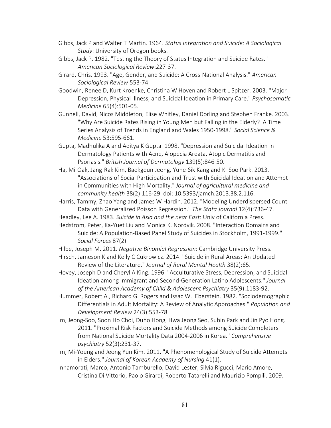- Gibbs, Jack P and Walter T Martin. 1964. *Status Integration and Suicide: A Sociological Study*: University of Oregon books.
- Gibbs, Jack P. 1982. "Testing the Theory of Status Integration and Suicide Rates." *American Sociological Review*:227-37.
- Girard, Chris. 1993. "Age, Gender, and Suicide: A Cross-National Analysis." *American Sociological Review*:553-74.
- Goodwin, Renee D, Kurt Kroenke, Christina W Hoven and Robert L Spitzer. 2003. "Major Depression, Physical Illness, and Suicidal Ideation in Primary Care." *Psychosomatic Medicine* 65(4):501-05.
- Gunnell, David, Nicos Middleton, Elise Whitley, Daniel Dorling and Stephen Franke. 2003. "Why Are Suicide Rates Rising in Young Men but Falling in the Elderly? A Time Series Analysis of Trends in England and Wales 1950-1998." *Social Science & Medicine* 53:595-661.
- Gupta, Madhulika A and Aditya K Gupta. 1998. "Depression and Suicidal Ideation in Dermatology Patients with Acne, Alopecia Areata, Atopic Dermatitis and Psoriasis." *British Journal of Dermatology* 139(5):846-50.
- Ha, Mi-Oak, Jang-Rak Kim, Baekgeun Jeong, Yune-Sik Kang and Ki-Soo Park. 2013. "Associations of Social Participation and Trust with Suicidal Ideation and Attempt in Communities with High Mortality." *Journal of agricultural medicine and community health* 38(2):116-29. doi: 10.5393/jamch.2013.38.2.116.
- Harris, Tammy, Zhao Yang and James W Hardin. 2012. "Modeling Underdispersed Count Data with Generalized Poisson Regression." *The Stata Journal* 12(4):736-47.
- Headley, Lee A. 1983. *Suicide in Asia and the near East*: Univ of California Press.
- Hedstrom, Peter, Ka-Yuet Liu and Monica K. Nordvik. 2008. "Interaction Domains and Suicide: A Population-Based Panel Study of Suicides in Stockholm, 1991-1999." *Social Forces* 87(2).
- Hilbe, Joseph M. 2011. *Negative Binomial Regression*: Cambridge University Press.
- Hirsch, Jameson K and Kelly C Cukrowicz. 2014. "Suicide in Rural Areas: An Updated Review of the Literature." *Journal of Rural Mental Health* 38(2):65.
- Hovey, Joseph D and Cheryl A King. 1996. "Acculturative Stress, Depression, and Suicidal Ideation among Immigrant and Second-Generation Latino Adolescents." *Journal of the American Academy of Child & Adolescent Psychiatry* 35(9):1183-92.
- Hummer, Robert A., Richard G. Rogers and Issac W. Eberstein. 1982. "Sociodemographic Differentials in Adult Mortality: A Review of Analytic Approaches." *Population and Development Review* 24(3):553-78.
- Im, Jeong-Soo, Soon Ho Choi, Duho Hong, Hwa Jeong Seo, Subin Park and Jin Pyo Hong. 2011. "Proximal Risk Factors and Suicide Methods among Suicide Completers from National Suicide Mortality Data 2004-2006 in Korea." *Comprehensive psychiatry* 52(3):231-37.
- Im, Mi-Young and Jeong Yun Kim. 2011. "A Phenomenological Study of Suicide Attempts in Elders." *Journal of Korean Academy of Nursing* 41(1).
- Innamorati, Marco, Antonio Tamburello, David Lester, Silvia Rigucci, Mario Amore, Cristina Di Vittorio, Paolo Girardi, Roberto Tatarelli and Maurizio Pompili. 2009.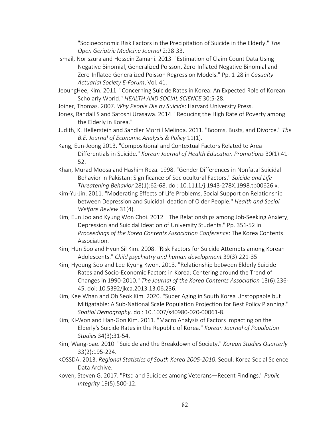"Socioeconomic Risk Factors in the Precipitation of Suicide in the Elderly." *The Open Geriatric Medicine Journal* 2:28-33.

- Ismail, Noriszura and Hossein Zamani. 2013. "Estimation of Claim Count Data Using Negative Binomial, Generalized Poisson, Zero-Inflated Negative Binomial and Zero-Inflated Generalized Poisson Regression Models." Pp. 1-28 in *Casualty Actuarial Society E-Forum*, Vol. 41.
- JeoungHee, Kim. 2011. "Concerning Suicide Rates in Korea: An Expected Role of Korean Scholarly World." *HEALTH AND SOCIAL SCIENCE* 30:5-28.
- Joiner, Thomas. 2007. *Why People Die by Suicide*: Harvard University Press.
- Jones, Randall S and Satoshi Urasawa. 2014. "Reducing the High Rate of Poverty among the Elderly in Korea."
- Judith, K. Hellerstein and Sandler Morrill Melinda. 2011. "Booms, Busts, and Divorce." *The B.E. Journal of Economic Analysis & Policy* 11(1).
- Kang, Eun-Jeong 2013. "Compositional and Contextual Factors Related to Area Differentials in Suicide." *Korean Journal of Health Education Promotions* 30(1):41- 52.
- Khan, Murad Moosa and Hashim Reza. 1998. "Gender Differences in Nonfatal Suicidal Behavior in Pakistan: Significance of Sociocultural Factors." *Suicide and Life-Threatening Behavior* 28(1):62-68. doi: 10.1111/j.1943-278X.1998.tb00626.x.
- Kim-Yu-Jin. 2011. "Moderating Effects of Life Problems, Social Support on Relationship between Depression and Suicidal Ideation of Older People." *Health and Social Welfare Review* 31(4).
- Kim, Eun Joo and Kyung Won Choi. 2012. "The Relationships among Job-Seeking Anxiety, Depression and Suicidal Ideation of University Students." Pp. 351-52 in *Proceedings of the Korea Contents Association Conference*: The Korea Contents Association.
- Kim, Hun Soo and Hyun Sil Kim. 2008. "Risk Factors for Suicide Attempts among Korean Adolescents." *Child psychiatry and human development* 39(3):221-35.
- Kim, Hyoung-Soo and Lee-Kyung Kwon. 2013. "Relationship between Elderly Suicide Rates and Socio-Economic Factors in Korea: Centering around the Trend of Changes in 1990-2010." *The Journal of the Korea Contents Association* 13(6):236- 45. doi: 10.5392/jkca.2013.13.06.236.
- Kim, Kee Whan and Oh Seok Kim. 2020. "Super Aging in South Korea Unstoppable but Mitigatable: A Sub-National Scale Population Projection for Best Policy Planning." *Spatial Demography*. doi: 10.1007/s40980-020-00061-8.
- Kim, Ki-Won and Han-Gon Kim. 2011. "Macro Analysis of Factors Impacting on the Elderly's Suicide Rates in the Republic of Korea." *Korean Journal of Population Studies* 34(3):31-54.
- Kim, Wang-bae. 2010. "Suicide and the Breakdown of Society." *Korean Studies Quarterly* 33(2):195-224.
- KOSSDA. 2013. *Regional Statistics of South Korea 2005-2010*. Seoul: Korea Social Science Data Archive.
- Koven, Steven G. 2017. "Ptsd and Suicides among Veterans—Recent Findings." *Public Integrity* 19(5):500-12.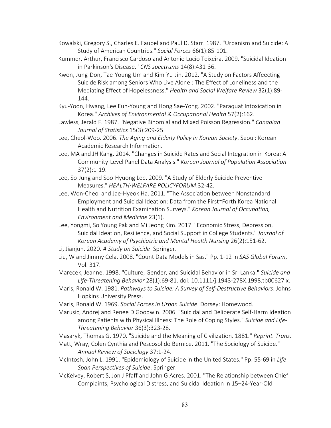- Kowalski, Gregory S., Charles E. Faupel and Paul D. Starr. 1987. "Urbanism and Suicide: A Study of American Countries." *Social Forces* 66(1):85-101.
- Kummer, Arthur, Francisco Cardoso and Antonio Lucio Teixeira. 2009. "Suicidal Ideation in Parkinson's Disease." *CNS spectrums* 14(8):431-36.
- Kwon, Jung-Don, Tae-Young Um and Kim-Yu-Jin. 2012. "A Study on Factors Affeecting Suicide Risk among Seniors Who Live Alone : The Effect of Loneliness and the Mediating Effect of Hopelessness." *Health and Social Welfare Review* 32(1):89- 144.
- Kyu-Yoon, Hwang, Lee Eun-Young and Hong Sae-Yong. 2002. "Paraquat Intoxication in Korea." *Archives of Environmental & Occupational Health* 57(2):162.
- Lawless, Jerald F. 1987. "Negative Binomial and Mixed Poisson Regression." *Canadian Journal of Statistics* 15(3):209-25.
- Lee, Cheol-Woo. 2006. *The Aging and Elderly Policy in Korean Society*. Seoul: Korean Academic Research Information.
- Lee, MA and JH Kang. 2014. "Changes in Suicide Rates and Social Integration in Korea: A Community-Level Panel Data Analysis." *Korean Journal of Population Association* 37(2):1-19.
- Lee, So-Jung and Soo-Hyuong Lee. 2009. "A Study of Elderly Suicide Preventive Measures." *HEALTH·WELFARE POLICYFORUM*:32-42.
- Lee, Won-Cheol and Jae-Hyeok Ha. 2011. "The Association between Nonstandard Employment and Suicidal Ideation: Data from the First~Forth Korea National Health and Nutrition Examination Surveys." *Korean Journal of Occupation, Environment and Medicine* 23(1).
- Lee, Yongmi, So Young Pak and Mi Jeong Kim. 2017. "Economic Stress, Depression, Suicidal Ideation, Resilience, and Social Support in College Students." *Journal of Korean Academy of Psychiatric and Mental Health Nursing* 26(2):151-62.
- Li, Jianjun. 2020. *A Study on Suicide*: Springer.
- Liu, W and Jimmy Cela. 2008. "Count Data Models in Sas." Pp. 1-12 in *SAS Global Forum*, Vol. 317.
- Marecek, Jeanne. 1998. "Culture, Gender, and Suicidal Behavior in Sri Lanka." *Suicide and Life-Threatening Behavior* 28(1):69-81. doi: 10.1111/j.1943-278X.1998.tb00627.x.
- Maris, Ronald W. 1981. *Pathways to Suicide: A Survey of Self-Destructive Behaviors*: Johns Hopkins University Press.
- Maris, Ronald W. 1969. *Social Forces in Urban Suicide*. Dorsey: Homewood.

Marusic, Andrej and Renee D Goodwin. 2006. "Suicidal and Deliberate Self-Harm Ideation among Patients with Physical Illness: The Role of Coping Styles." *Suicide and Life-Threatening Behavior* 36(3):323-28.

Masaryk, Thomas G. 1970. "Suicide and the Meaning of Civilization. 1881." *Reprint. Trans*.

- Matt, Wray, Colen Cynthia and Pescosolido Bernice. 2011. "The Sociology of Suicide." *Annual Review of Sociology* 37:1-24.
- McIntosh, John L. 1991. "Epidemiology of Suicide in the United States." Pp. 55-69 in *Life Span Perspectives of Suicide*: Springer.
- McKelvey, Robert S, Jon J Pfaff and John G Acres. 2001. "The Relationship between Chief Complaints, Psychological Distress, and Suicidal Ideation in 15–24-Year-Old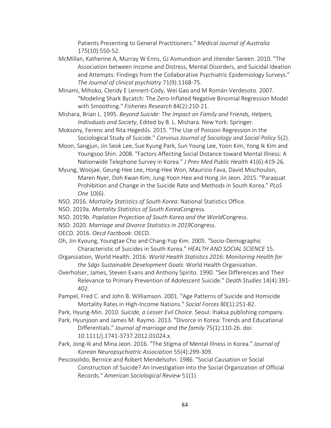Patients Presenting to General Practitioners." *Medical Journal of Australia* 175(10):550-52.

- McMillan, Katherine A, Murray W Enns, GJ Asmundson and Jitender Sareen. 2010. "The Association between Income and Distress, Mental Disorders, and Suicidal Ideation and Attempts: Findings from the Collaborative Psychiatric Epidemiology Surveys." *The Journal of clinical psychiatry* 71(9):1168-75.
- Minami, Mihoko, Cleridy E Lennert-Cody, Wei Gao and M Román-Verdesoto. 2007. "Modeling Shark Bycatch: The Zero-Inflated Negative Binomial Regression Model with Smoothing." *Fisheries Research* 84(2):210-21.
- Mishara, Brian L. 1995. *Beyond Suicide: The Impact on Family and Friends, Helpers, Indiivduals and Society*, Edited by B. L. Mishara. New York: Springer.
- Moksony, Ferenc and Rita Hegedűs. 2015. "The Use of Poisson Regression in the Sociological Study of Suicide." *Corvinus Journal of Sociology and Social Policy* 5(2).
- Moon, Sangjun, Jin Seok Lee, Sue Kyung Park, Sun Young Lee, Yoon Kim, Yong Ik Kim and Youngsoo Shin. 2008. "Factors Affecting Social Distance toward Mental Illness: A Nationwide Telephone Survey in Korea." *J Prev Med Public Health* 41(6):419-26.
- Myung, Woojae, Geung-Hee Lee, Hong-Hee Won, Maurizio Fava, David Mischoulon, Maren Nyer, Doh Kwan Kim, Jung-Yoon Heo and Hong Jin Jeon. 2015. "Paraquat Prohibition and Change in the Suicide Rate and Methods in South Korea." *PLoS One* 10(6).
- NSO. 2016. *Mortality Statistics of South Korea*: National Statistics Office.
- NSO. 2019a. *Mortality Statistics of South Korea*Congress.
- NSO. 2019b. *Poplation Projection of South Korea and the World*Congress.
- NSO. 2020. *Marriage and Divorce Statistics in 2019*Congress.
- OECD. 2016. *Oecd Factbook*: OECD.
- Oh, Jin-Kyoung, Youngtae Cho and Chang-Yup Kim. 2005. "Socio-Demographic Characteristic of Suicides in South Korea." *HEALTH AND SOCIAL SCIENCE* 15.
- Organization, World Health. 2016. *World Health Statistics 2016: Monitoring Health for the Sdgs Sustainable Development Goals*: World Health Organization.
- Overholser, James, Steven Evans and Anthony Spirito. 1990. "Sex Differences and Their Relevance to Primary Prevention of Adolescent Suicide." *Death Studies* 14(4):391- 402.
- Pampel, Fred C. and John B. Williamson. 2001. "Age Patterns of Suicide and Homicide Mortality Rates in High-Income Nations." *Social Forces* 80(1):251-82.
- Park, Hyung-Min. 2010. *Suicide, a Lesser Evil Choice*. Seoul: Ihaksa publishing company.
- Park, Hyunjoon and James M. Raymo. 2013. "Divorce in Korea: Trends and Educational Differentials." *Journal of marriage and the family* 75(1):110-26. doi: 10.1111/j.1741-3737.2012.01024.x.
- Park, Jong-Ik and Mina Jeon. 2016. "The Stigma of Mental Illness in Korea." *Journal of Korean Neuropsychiatric Association* 55(4):299-309.
- Pescosolido, Bernice and Robert Mendelsohn. 1986. "Social Causation or Social Construction of Suicide? An Investigation into the Social Organization of Official Records." *American Sociological Review* 51(1).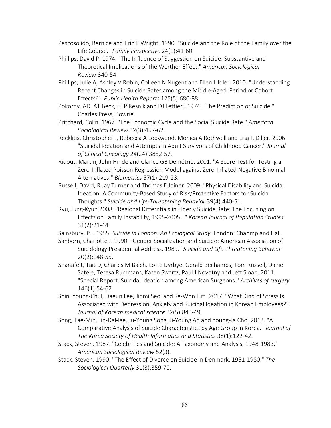- Pescosolido, Bernice and Eric R Wright. 1990. "Suicide and the Role of the Family over the Life Course." *Family Perspective* 24(1):41-60.
- Phillips, David P. 1974. "The Influence of Suggestion on Suicide: Substantive and Theoretical Implications of the Werther Effect." *American Sociological Review*:340-54.
- Phillips, Julie A, Ashley V Robin, Colleen N Nugent and Ellen L Idler. 2010. "Understanding Recent Changes in Suicide Rates among the Middle-Aged: Period or Cohort Effects?". *Public Health Reports* 125(5):680-88.
- Pokorny, AD, AT Beck, HLP Resnik and DJ Lettieri. 1974. "The Prediction of Suicide." Charles Press, Bowrie.
- Pritchard, Colin. 1967. "The Economic Cycle and the Social Suicide Rate." *American Sociological Review* 32(3):457-62.
- Recklitis, Christopher J, Rebecca A Lockwood, Monica A Rothwell and Lisa R Diller. 2006. "Suicidal Ideation and Attempts in Adult Survivors of Childhood Cancer." *Journal of Clinical Oncology* 24(24):3852-57.
- Ridout, Martin, John Hinde and Clarice GB Demétrio. 2001. "A Score Test for Testing a Zero-Inflated Poisson Regression Model against Zero-Inflated Negative Binomial Alternatives." *Biometrics* 57(1):219-23.
- Russell, David, R Jay Turner and Thomas E Joiner. 2009. "Physical Disability and Suicidal Ideation: A Community-Based Study of Risk/Protective Factors for Suicidal Thoughts." *Suicide and Life-Threatening Behavior* 39(4):440-51.
- Ryu, Jung-Kyun 2008. "Regional Differntials in Elderly Suicide Rate: The Focusing on Effects on Family Instability, 1995-2005. ." *Korean Journal of Population Studies* 31(2):21-44.
- Sainsbury, P. . 1955. *Suicide in London: An Ecological Study*. London: Chanmp and Hall.
- Sanborn, Charlotte J. 1990. "Gender Socialization and Suicide: American Association of Suicidology Presidential Address, 1989." *Suicide and Life-Threatening Behavior* 20(2):148-55.
- Shanafelt, Tait D, Charles M Balch, Lotte Dyrbye, Gerald Bechamps, Tom Russell, Daniel Satele, Teresa Rummans, Karen Swartz, Paul J Novotny and Jeff Sloan. 2011. "Special Report: Suicidal Ideation among American Surgeons." *Archives of surgery* 146(1):54-62.
- Shin, Young-Chul, Daeun Lee, Jinmi Seol and Se-Won Lim. 2017. "What Kind of Stress Is Associated with Depression, Anxiety and Suicidal Ideation in Korean Employees?". *Journal of Korean medical science* 32(5):843-49.
- Song, Tae-Min, Jin-Dal-lae, Ju-Young Song, Ji-Young An and Young-Ja Cho. 2013. "A Comparative Analysis of Suicide Characteristics by Age Group in Korea." *Journal of The Korea Society of Health Informatics and Statistics* 38(1):122-42.
- Stack, Steven. 1987. "Celebrities and Suicide: A Taxonomy and Analysis, 1948-1983." *American Sociological Review* 52(3).
- Stack, Steven. 1990. "The Effect of Divorce on Suicide in Denmark, 1951-1980." *The Sociological Quarterly* 31(3):359-70.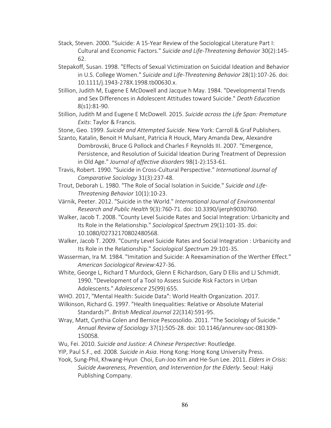- Stack, Steven. 2000. "Suicide: A 15-Year Review of the Sociological Literature Part I: Cultural and Economic Factors." *Suicide and Life-Threatening Behavior* 30(2):145- 62.
- Stepakoff, Susan. 1998. "Effects of Sexual Victimization on Suicidal Ideation and Behavior in U.S. College Women." *Suicide and Life-Threatening Behavior* 28(1):107-26. doi: 10.1111/j.1943-278X.1998.tb00630.x.
- Stillion, Judith M, Eugene E McDowell and Jacque h May. 1984. "Developmental Trends and Sex Differences in Adolescent Attitudes toward Suicide." *Death Education* 8(s1):81-90.
- Stillion, Judith M and Eugene E McDowell. 2015. *Suicide across the Life Span: Premature Exits*: Taylor & Francis.
- Stone, Geo. 1999. *Suicide and Attempted Suicide*. New York: Carroll & Graf Publishers.
- Szanto, Katalin, Benoit H Mulsant, Patricia R Houck, Mary Amanda Dew, Alexandre Dombrovski, Bruce G Pollock and Charles F Reynolds III. 2007. "Emergence, Persistence, and Resolution of Suicidal Ideation During Treatment of Depression in Old Age." *Journal of affective disorders* 98(1-2):153-61.
- Travis, Robert. 1990. "Suicide in Cross-Cultural Perspective." *International Journal of Comparative Sociology* 31(3):237-48.
- Trout, Deborah L. 1980. "The Role of Social Isolation in Suicide." *Suicide and Life-Threatening Behavior* 10(1):10-23.
- Värnik, Peeter. 2012. "Suicide in the World." *International Journal of Environmental Research and Public Health* 9(3):760-71. doi: 10.3390/ijerph9030760.
- Walker, Jacob T. 2008. "County Level Suicide Rates and Social Integration: Urbanicity and Its Role in the Relationship." *Sociological Spectrum* 29(1):101-35. doi: 10.1080/02732170802480568.
- Walker, Jacob T. 2009. "County Level Suicide Rates and Social Integration : Urbanicity and Its Role in the Relationship." *Sociological Spectrum* 29:101-35.
- Wasserman, Ira M. 1984. "Imitation and Suicide: A Reexamination of the Werther Effect." *American Sociological Review*:427-36.
- White, George L, Richard T Murdock, Glenn E Richardson, Gary D Ellis and LJ Schmidt. 1990. "Development of a Tool to Assess Suicide Risk Factors in Urban Adolescents." *Adolescence* 25(99):655.
- WHO. 2017, "Mental Health: Suicide Data": World Health Organization. 2017.
- Wilkinson, Richard G. 1997. "Health Iinequalities: Relative or Absolute Material Standards?". *British Medical Journal* 22(314):591-95.
- Wray, Matt, Cynthia Colen and Bernice Pescosolido. 2011. "The Sociology of Suicide." *Annual Review of Sociology* 37(1):505-28. doi: 10.1146/annurev-soc-081309- 150058.
- Wu, Fei. 2010. *Suicide and Justice: A Chinese Perspective*: Routledge.
- YIP, Paul S.F., ed. 2008. *Suicide in Asia*. Hong Kong: Hong Kong University Press.

Yook, Sung-Phil, Khwang-Hyun Choi, Eun-Joo Kim and He-Sun Lee. 2011. *Elders in Crisis: Suicide Awareness, Prevention, and Intervention for the Elderly*. Seoul: Hakji Publishing Company.